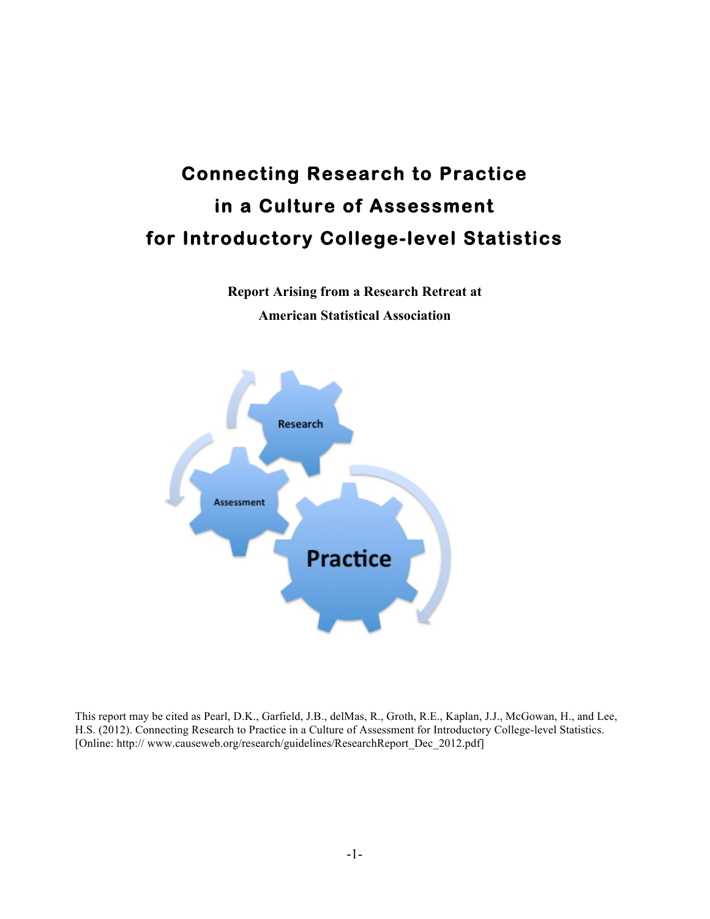# **Connecting Research to Practice in a Culture of Assessment for Introductory College-level Statistics**

**Report Arising from a Research Retreat at American Statistical Association**



This report may be cited as Pearl, D.K., Garfield, J.B., delMas, R., Groth, R.E., Kaplan, J.J., McGowan, H., and Lee, H.S. (2012). Connecting Research to Practice in a Culture of Assessment for Introductory College-level Statistics. [Online: http:// www.causeweb.org/research/guidelines/ResearchReport\_Dec\_2012.pdf]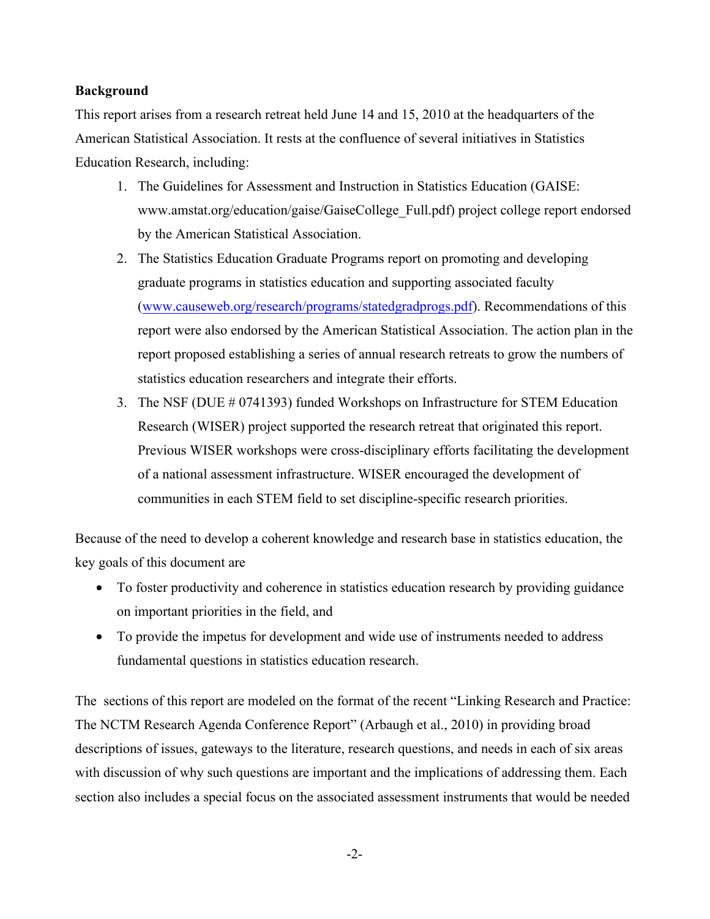# **Background**

This report arises from a research retreat held June 14 and 15, 2010 at the headquarters of the American Statistical Association. It rests at the confluence of several initiatives in Statistics Education Research, including:

- 1. The Guidelines for Assessment and Instruction in Statistics Education (GAISE: www.amstat.org/education/gaise/GaiseCollege\_Full.pdf) project college report endorsed by the American Statistical Association.
- 2. The Statistics Education Graduate Programs report on promoting and developing graduate programs in statistics education and supporting associated faculty (www.causeweb.org/research/programs/statedgradprogs.pdf). Recommendations of this report were also endorsed by the American Statistical Association. The action plan in the report proposed establishing a series of annual research retreats to grow the numbers of statistics education researchers and integrate their efforts.
- 3. The NSF (DUE # 0741393) funded Workshops on Infrastructure for STEM Education Research (WISER) project supported the research retreat that originated this report. Previous WISER workshops were cross-disciplinary efforts facilitating the development of a national assessment infrastructure. WISER encouraged the development of communities in each STEM field to set discipline-specific research priorities.

Because of the need to develop a coherent knowledge and research base in statistics education, the key goals of this document are

- To foster productivity and coherence in statistics education research by providing guidance on important priorities in the field, and
- To provide the impetus for development and wide use of instruments needed to address fundamental questions in statistics education research.

The sections of this report are modeled on the format of the recent "Linking Research and Practice: The NCTM Research Agenda Conference Report" (Arbaugh et al., 2010) in providing broad descriptions of issues, gateways to the literature, research questions, and needs in each of six areas with discussion of why such questions are important and the implications of addressing them. Each section also includes a special focus on the associated assessment instruments that would be needed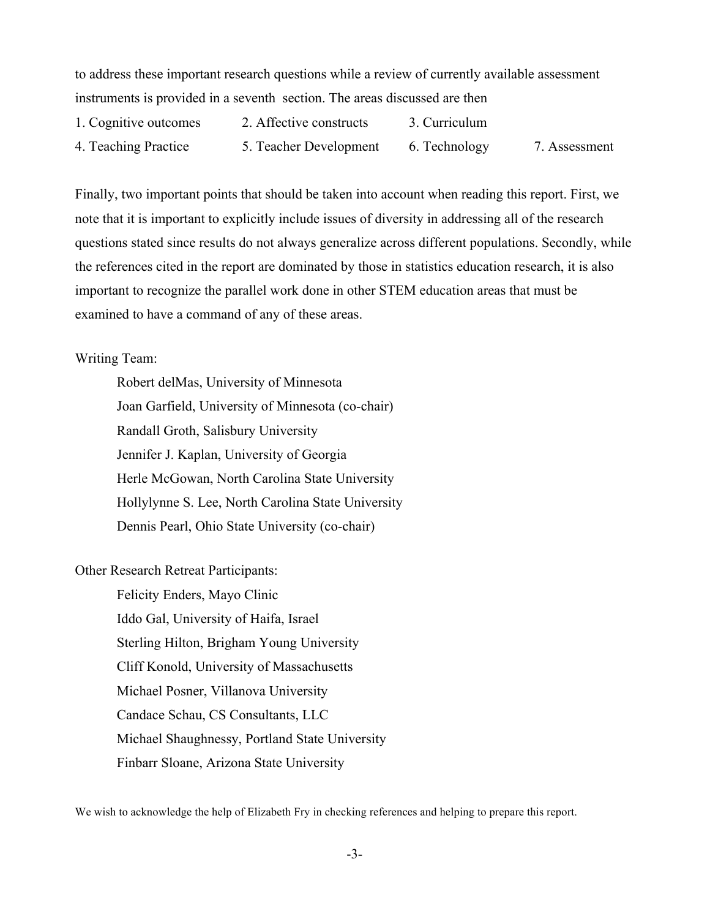to address these important research questions while a review of currently available assessment instruments is provided in a seventh section. The areas discussed are then

1. Cognitive outcomes 2. Affective constructs 3. Curriculum 4. Teaching Practice 5. Teacher Development 6. Technology 7. Assessment

Finally, two important points that should be taken into account when reading this report. First, we note that it is important to explicitly include issues of diversity in addressing all of the research questions stated since results do not always generalize across different populations. Secondly, while the references cited in the report are dominated by those in statistics education research, it is also important to recognize the parallel work done in other STEM education areas that must be examined to have a command of any of these areas.

# Writing Team:

Robert delMas, University of Minnesota Joan Garfield, University of Minnesota (co-chair) Randall Groth, Salisbury University Jennifer J. Kaplan, University of Georgia Herle McGowan, North Carolina State University Hollylynne S. Lee, North Carolina State University Dennis Pearl, Ohio State University (co-chair)

Other Research Retreat Participants:

Felicity Enders, Mayo Clinic Iddo Gal, University of Haifa, Israel Sterling Hilton, Brigham Young University Cliff Konold, University of Massachusetts Michael Posner, Villanova University Candace Schau, CS Consultants, LLC Michael Shaughnessy, Portland State University Finbarr Sloane, Arizona State University

We wish to acknowledge the help of Elizabeth Fry in checking references and helping to prepare this report.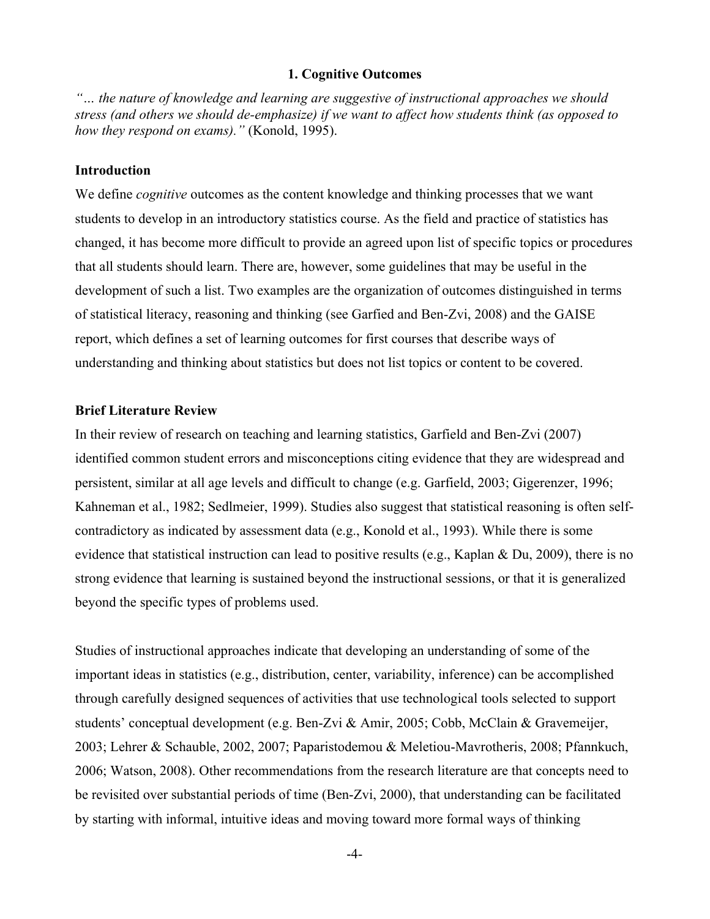#### **1. Cognitive Outcomes**

*"… the nature of knowledge and learning are suggestive of instructional approaches we should stress (and others we should de-emphasize) if we want to affect how students think (as opposed to how they respond on exams)."* (Konold, 1995).

#### **Introduction**

We define *cognitive* outcomes as the content knowledge and thinking processes that we want students to develop in an introductory statistics course. As the field and practice of statistics has changed, it has become more difficult to provide an agreed upon list of specific topics or procedures that all students should learn. There are, however, some guidelines that may be useful in the development of such a list. Two examples are the organization of outcomes distinguished in terms of statistical literacy, reasoning and thinking (see Garfied and Ben-Zvi, 2008) and the GAISE report, which defines a set of learning outcomes for first courses that describe ways of understanding and thinking about statistics but does not list topics or content to be covered.

## **Brief Literature Review**

In their review of research on teaching and learning statistics, Garfield and Ben-Zvi (2007) identified common student errors and misconceptions citing evidence that they are widespread and persistent, similar at all age levels and difficult to change (e.g. Garfield, 2003; Gigerenzer, 1996; Kahneman et al., 1982; Sedlmeier, 1999). Studies also suggest that statistical reasoning is often selfcontradictory as indicated by assessment data (e.g., Konold et al., 1993). While there is some evidence that statistical instruction can lead to positive results (e.g., Kaplan & Du, 2009), there is no strong evidence that learning is sustained beyond the instructional sessions, or that it is generalized beyond the specific types of problems used.

Studies of instructional approaches indicate that developing an understanding of some of the important ideas in statistics (e.g., distribution, center, variability, inference) can be accomplished through carefully designed sequences of activities that use technological tools selected to support students' conceptual development (e.g. Ben-Zvi & Amir, 2005; Cobb, McClain & Gravemeijer, 2003; Lehrer & Schauble, 2002, 2007; Paparistodemou & Meletiou-Mavrotheris, 2008; Pfannkuch, 2006; Watson, 2008). Other recommendations from the research literature are that concepts need to be revisited over substantial periods of time (Ben-Zvi, 2000), that understanding can be facilitated by starting with informal, intuitive ideas and moving toward more formal ways of thinking

-4-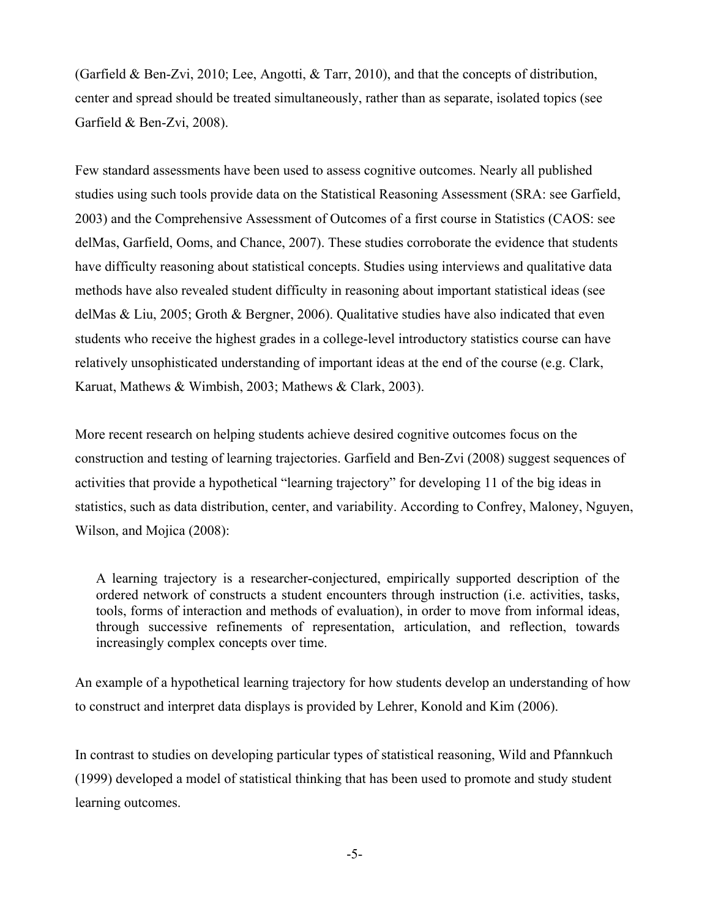(Garfield & Ben-Zvi, 2010; Lee, Angotti, & Tarr, 2010), and that the concepts of distribution, center and spread should be treated simultaneously, rather than as separate, isolated topics (see Garfield & Ben-Zvi, 2008).

Few standard assessments have been used to assess cognitive outcomes. Nearly all published studies using such tools provide data on the Statistical Reasoning Assessment (SRA: see Garfield, 2003) and the Comprehensive Assessment of Outcomes of a first course in Statistics (CAOS: see delMas, Garfield, Ooms, and Chance, 2007). These studies corroborate the evidence that students have difficulty reasoning about statistical concepts. Studies using interviews and qualitative data methods have also revealed student difficulty in reasoning about important statistical ideas (see delMas & Liu, 2005; Groth & Bergner, 2006). Qualitative studies have also indicated that even students who receive the highest grades in a college-level introductory statistics course can have relatively unsophisticated understanding of important ideas at the end of the course (e.g. Clark, Karuat, Mathews & Wimbish, 2003; Mathews & Clark, 2003).

More recent research on helping students achieve desired cognitive outcomes focus on the construction and testing of learning trajectories. Garfield and Ben-Zvi (2008) suggest sequences of activities that provide a hypothetical "learning trajectory" for developing 11 of the big ideas in statistics, such as data distribution, center, and variability. According to Confrey, Maloney, Nguyen, Wilson, and Mojica (2008):

A learning trajectory is a researcher-conjectured, empirically supported description of the ordered network of constructs a student encounters through instruction (i.e. activities, tasks, tools, forms of interaction and methods of evaluation), in order to move from informal ideas, through successive refinements of representation, articulation, and reflection, towards increasingly complex concepts over time.

An example of a hypothetical learning trajectory for how students develop an understanding of how to construct and interpret data displays is provided by Lehrer, Konold and Kim (2006).

In contrast to studies on developing particular types of statistical reasoning, Wild and Pfannkuch (1999) developed a model of statistical thinking that has been used to promote and study student learning outcomes.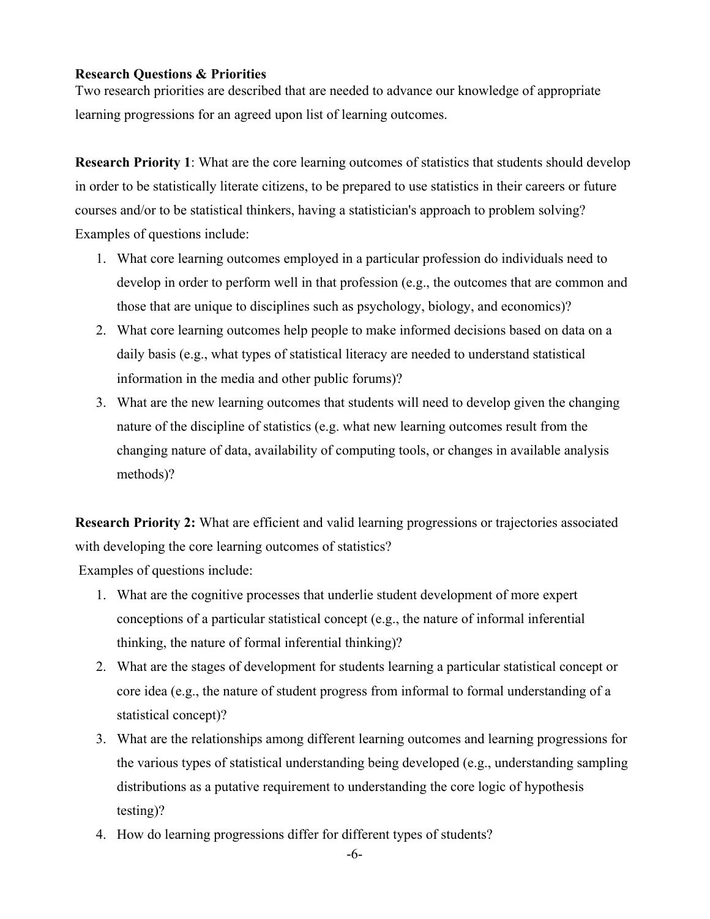## **Research Questions & Priorities**

Two research priorities are described that are needed to advance our knowledge of appropriate learning progressions for an agreed upon list of learning outcomes.

**Research Priority 1**: What are the core learning outcomes of statistics that students should develop in order to be statistically literate citizens, to be prepared to use statistics in their careers or future courses and/or to be statistical thinkers, having a statistician's approach to problem solving? Examples of questions include:

- 1. What core learning outcomes employed in a particular profession do individuals need to develop in order to perform well in that profession (e.g., the outcomes that are common and those that are unique to disciplines such as psychology, biology, and economics)?
- 2. What core learning outcomes help people to make informed decisions based on data on a daily basis (e.g., what types of statistical literacy are needed to understand statistical information in the media and other public forums)?
- 3. What are the new learning outcomes that students will need to develop given the changing nature of the discipline of statistics (e.g. what new learning outcomes result from the changing nature of data, availability of computing tools, or changes in available analysis methods)?

**Research Priority 2:** What are efficient and valid learning progressions or trajectories associated with developing the core learning outcomes of statistics?

Examples of questions include:

- 1. What are the cognitive processes that underlie student development of more expert conceptions of a particular statistical concept (e.g., the nature of informal inferential thinking, the nature of formal inferential thinking)?
- 2. What are the stages of development for students learning a particular statistical concept or core idea (e.g., the nature of student progress from informal to formal understanding of a statistical concept)?
- 3. What are the relationships among different learning outcomes and learning progressions for the various types of statistical understanding being developed (e.g., understanding sampling distributions as a putative requirement to understanding the core logic of hypothesis testing)?
- 4. How do learning progressions differ for different types of students?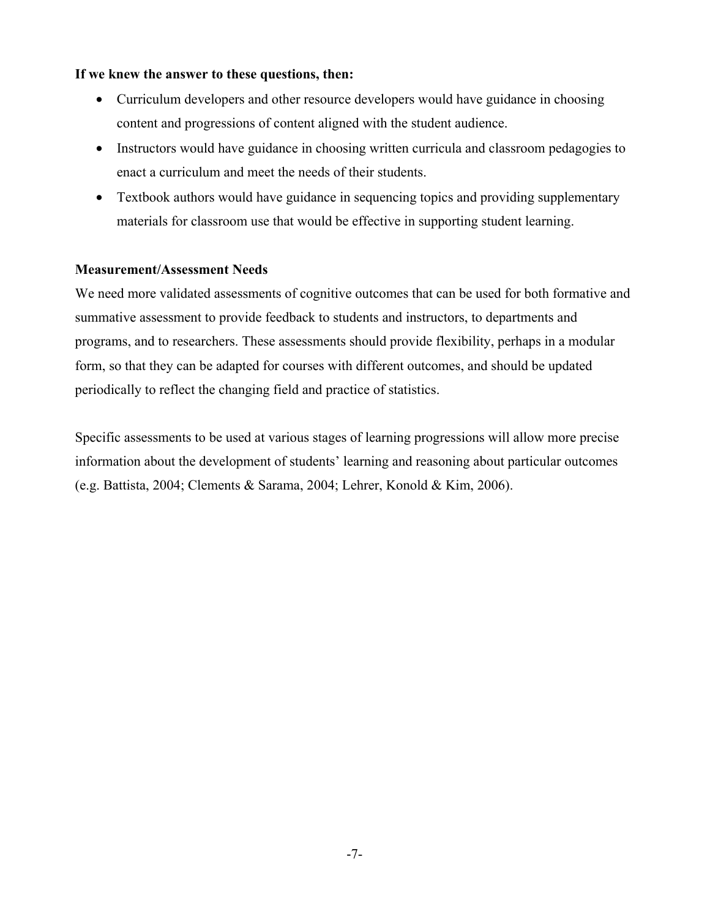# **If we knew the answer to these questions, then:**

- Curriculum developers and other resource developers would have guidance in choosing content and progressions of content aligned with the student audience.
- Instructors would have guidance in choosing written curricula and classroom pedagogies to enact a curriculum and meet the needs of their students.
- Textbook authors would have guidance in sequencing topics and providing supplementary materials for classroom use that would be effective in supporting student learning.

# **Measurement/Assessment Needs**

We need more validated assessments of cognitive outcomes that can be used for both formative and summative assessment to provide feedback to students and instructors, to departments and programs, and to researchers. These assessments should provide flexibility, perhaps in a modular form, so that they can be adapted for courses with different outcomes, and should be updated periodically to reflect the changing field and practice of statistics.

Specific assessments to be used at various stages of learning progressions will allow more precise information about the development of students' learning and reasoning about particular outcomes (e.g. Battista, 2004; Clements & Sarama, 2004; Lehrer, Konold & Kim, 2006).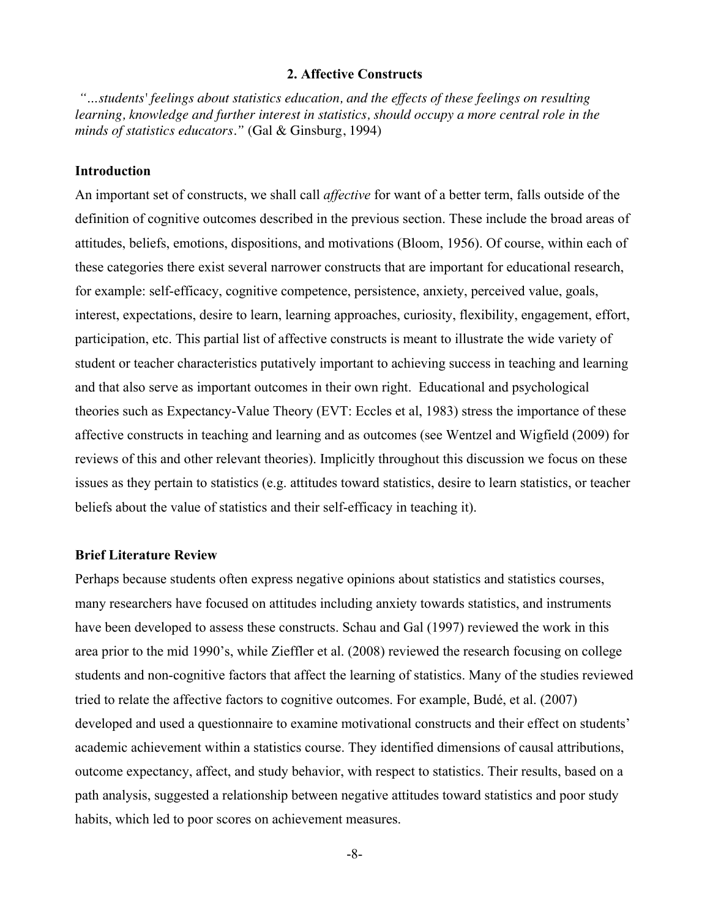#### **2. Affective Constructs**

*"…students' feelings about statistics education, and the effects of these feelings on resulting*  learning, knowledge and further interest in statistics, should occupy a more central role in the *minds of statistics educators."* (Gal & Ginsburg, 1994)

## **Introduction**

An important set of constructs, we shall call *affective* for want of a better term, falls outside of the definition of cognitive outcomes described in the previous section. These include the broad areas of attitudes, beliefs, emotions, dispositions, and motivations (Bloom, 1956). Of course, within each of these categories there exist several narrower constructs that are important for educational research, for example: self-efficacy, cognitive competence, persistence, anxiety, perceived value, goals, interest, expectations, desire to learn, learning approaches, curiosity, flexibility, engagement, effort, participation, etc. This partial list of affective constructs is meant to illustrate the wide variety of student or teacher characteristics putatively important to achieving success in teaching and learning and that also serve as important outcomes in their own right. Educational and psychological theories such as Expectancy-Value Theory (EVT: Eccles et al, 1983) stress the importance of these affective constructs in teaching and learning and as outcomes (see Wentzel and Wigfield (2009) for reviews of this and other relevant theories). Implicitly throughout this discussion we focus on these issues as they pertain to statistics (e.g. attitudes toward statistics, desire to learn statistics, or teacher beliefs about the value of statistics and their self-efficacy in teaching it).

#### **Brief Literature Review**

Perhaps because students often express negative opinions about statistics and statistics courses, many researchers have focused on attitudes including anxiety towards statistics, and instruments have been developed to assess these constructs. Schau and Gal (1997) reviewed the work in this area prior to the mid 1990's, while Zieffler et al. (2008) reviewed the research focusing on college students and non-cognitive factors that affect the learning of statistics. Many of the studies reviewed tried to relate the affective factors to cognitive outcomes. For example, Budé, et al. (2007) developed and used a questionnaire to examine motivational constructs and their effect on students' academic achievement within a statistics course. They identified dimensions of causal attributions, outcome expectancy, affect, and study behavior, with respect to statistics. Their results, based on a path analysis, suggested a relationship between negative attitudes toward statistics and poor study habits, which led to poor scores on achievement measures.

-8-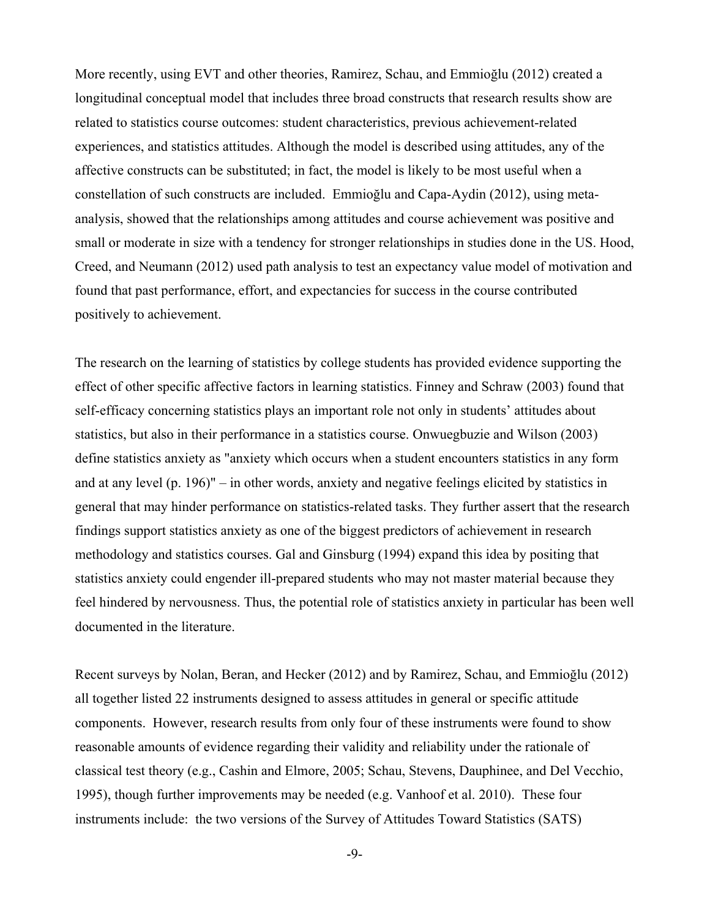More recently, using EVT and other theories, Ramirez, Schau, and Emmioğlu (2012) created a longitudinal conceptual model that includes three broad constructs that research results show are related to statistics course outcomes: student characteristics, previous achievement-related experiences, and statistics attitudes. Although the model is described using attitudes, any of the affective constructs can be substituted; in fact, the model is likely to be most useful when a constellation of such constructs are included. Emmioğlu and Capa-Aydin (2012), using metaanalysis, showed that the relationships among attitudes and course achievement was positive and small or moderate in size with a tendency for stronger relationships in studies done in the US. Hood, Creed, and Neumann (2012) used path analysis to test an expectancy value model of motivation and found that past performance, effort, and expectancies for success in the course contributed positively to achievement.

The research on the learning of statistics by college students has provided evidence supporting the effect of other specific affective factors in learning statistics. Finney and Schraw (2003) found that self-efficacy concerning statistics plays an important role not only in students' attitudes about statistics, but also in their performance in a statistics course. Onwuegbuzie and Wilson (2003) define statistics anxiety as "anxiety which occurs when a student encounters statistics in any form and at any level (p. 196)" – in other words, anxiety and negative feelings elicited by statistics in general that may hinder performance on statistics-related tasks. They further assert that the research findings support statistics anxiety as one of the biggest predictors of achievement in research methodology and statistics courses. Gal and Ginsburg (1994) expand this idea by positing that statistics anxiety could engender ill-prepared students who may not master material because they feel hindered by nervousness. Thus, the potential role of statistics anxiety in particular has been well documented in the literature.

Recent surveys by Nolan, Beran, and Hecker (2012) and by Ramirez, Schau, and Emmioğlu (2012) all together listed 22 instruments designed to assess attitudes in general or specific attitude components. However, research results from only four of these instruments were found to show reasonable amounts of evidence regarding their validity and reliability under the rationale of classical test theory (e.g., Cashin and Elmore, 2005; Schau, Stevens, Dauphinee, and Del Vecchio, 1995), though further improvements may be needed (e.g. Vanhoof et al. 2010). These four instruments include: the two versions of the Survey of Attitudes Toward Statistics (SATS)

-9-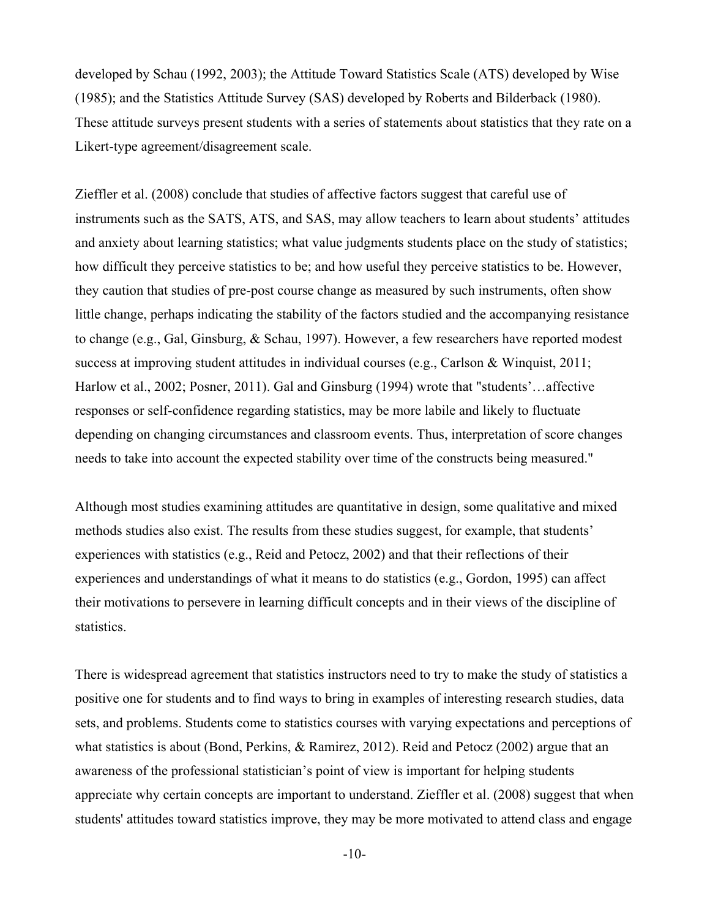developed by Schau (1992, 2003); the Attitude Toward Statistics Scale (ATS) developed by Wise (1985); and the Statistics Attitude Survey (SAS) developed by Roberts and Bilderback (1980). These attitude surveys present students with a series of statements about statistics that they rate on a Likert-type agreement/disagreement scale.

Zieffler et al. (2008) conclude that studies of affective factors suggest that careful use of instruments such as the SATS, ATS, and SAS, may allow teachers to learn about students' attitudes and anxiety about learning statistics; what value judgments students place on the study of statistics; how difficult they perceive statistics to be; and how useful they perceive statistics to be. However, they caution that studies of pre-post course change as measured by such instruments, often show little change, perhaps indicating the stability of the factors studied and the accompanying resistance to change (e.g., Gal, Ginsburg, & Schau, 1997). However, a few researchers have reported modest success at improving student attitudes in individual courses (e.g., Carlson & Winquist, 2011; Harlow et al., 2002; Posner, 2011). Gal and Ginsburg (1994) wrote that "students'…affective responses or self-confidence regarding statistics, may be more labile and likely to fluctuate depending on changing circumstances and classroom events. Thus, interpretation of score changes needs to take into account the expected stability over time of the constructs being measured."

Although most studies examining attitudes are quantitative in design, some qualitative and mixed methods studies also exist. The results from these studies suggest, for example, that students' experiences with statistics (e.g., Reid and Petocz, 2002) and that their reflections of their experiences and understandings of what it means to do statistics (e.g., Gordon, 1995) can affect their motivations to persevere in learning difficult concepts and in their views of the discipline of statistics.

There is widespread agreement that statistics instructors need to try to make the study of statistics a positive one for students and to find ways to bring in examples of interesting research studies, data sets, and problems. Students come to statistics courses with varying expectations and perceptions of what statistics is about (Bond, Perkins, & Ramirez, 2012). Reid and Petocz (2002) argue that an awareness of the professional statistician's point of view is important for helping students appreciate why certain concepts are important to understand. Zieffler et al. (2008) suggest that when students' attitudes toward statistics improve, they may be more motivated to attend class and engage

-10-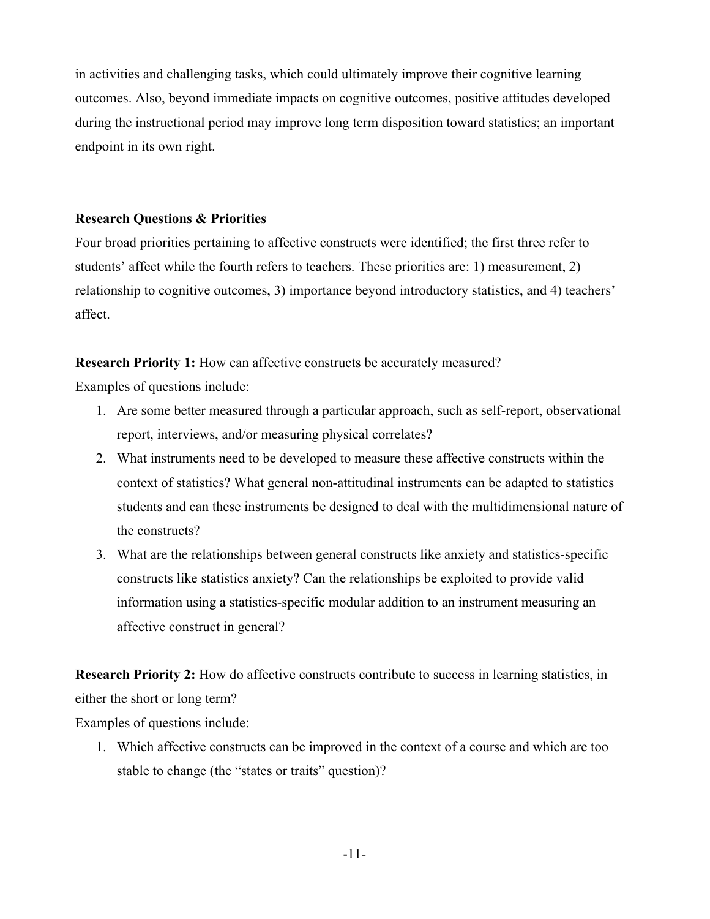in activities and challenging tasks, which could ultimately improve their cognitive learning outcomes. Also, beyond immediate impacts on cognitive outcomes, positive attitudes developed during the instructional period may improve long term disposition toward statistics; an important endpoint in its own right.

# **Research Questions & Priorities**

Four broad priorities pertaining to affective constructs were identified; the first three refer to students' affect while the fourth refers to teachers. These priorities are: 1) measurement, 2) relationship to cognitive outcomes, 3) importance beyond introductory statistics, and 4) teachers' affect.

**Research Priority 1:** How can affective constructs be accurately measured?

Examples of questions include:

- 1. Are some better measured through a particular approach, such as self-report, observational report, interviews, and/or measuring physical correlates?
- 2. What instruments need to be developed to measure these affective constructs within the context of statistics? What general non-attitudinal instruments can be adapted to statistics students and can these instruments be designed to deal with the multidimensional nature of the constructs?
- 3. What are the relationships between general constructs like anxiety and statistics-specific constructs like statistics anxiety? Can the relationships be exploited to provide valid information using a statistics-specific modular addition to an instrument measuring an affective construct in general?

**Research Priority 2:** How do affective constructs contribute to success in learning statistics, in either the short or long term?

Examples of questions include:

1. Which affective constructs can be improved in the context of a course and which are too stable to change (the "states or traits" question)?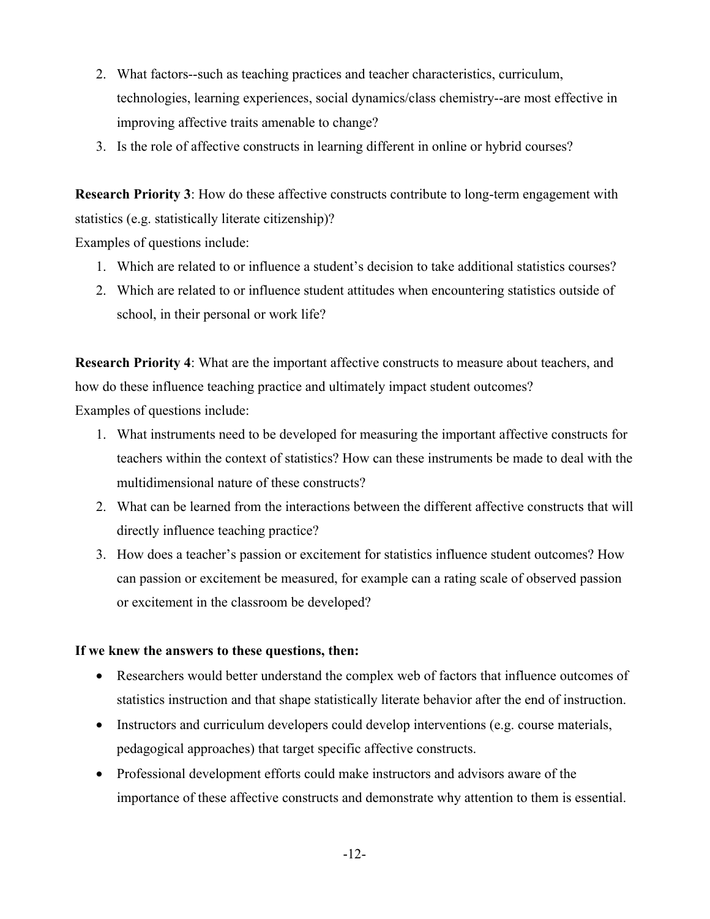- 2. What factors--such as teaching practices and teacher characteristics, curriculum, technologies, learning experiences, social dynamics/class chemistry--are most effective in improving affective traits amenable to change?
- 3. Is the role of affective constructs in learning different in online or hybrid courses?

**Research Priority 3**: How do these affective constructs contribute to long-term engagement with statistics (e.g. statistically literate citizenship)?

Examples of questions include:

- 1. Which are related to or influence a student's decision to take additional statistics courses?
- 2. Which are related to or influence student attitudes when encountering statistics outside of school, in their personal or work life?

**Research Priority 4**: What are the important affective constructs to measure about teachers, and how do these influence teaching practice and ultimately impact student outcomes?

Examples of questions include:

- 1. What instruments need to be developed for measuring the important affective constructs for teachers within the context of statistics? How can these instruments be made to deal with the multidimensional nature of these constructs?
- 2. What can be learned from the interactions between the different affective constructs that will directly influence teaching practice?
- 3. How does a teacher's passion or excitement for statistics influence student outcomes? How can passion or excitement be measured, for example can a rating scale of observed passion or excitement in the classroom be developed?

# **If we knew the answers to these questions, then:**

- Researchers would better understand the complex web of factors that influence outcomes of statistics instruction and that shape statistically literate behavior after the end of instruction.
- Instructors and curriculum developers could develop interventions (e.g. course materials, pedagogical approaches) that target specific affective constructs.
- Professional development efforts could make instructors and advisors aware of the importance of these affective constructs and demonstrate why attention to them is essential.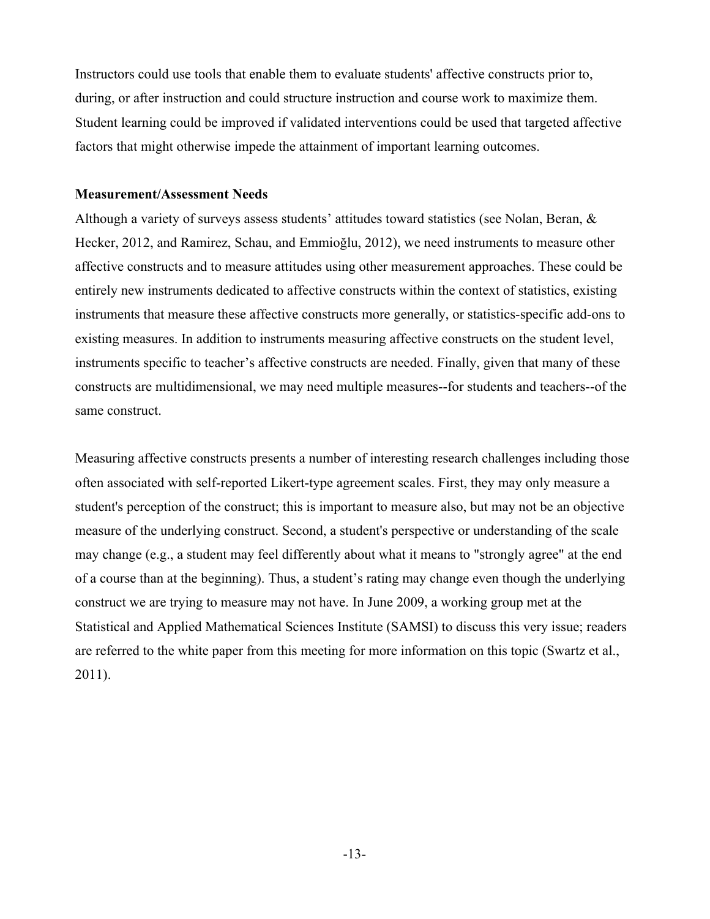Instructors could use tools that enable them to evaluate students' affective constructs prior to, during, or after instruction and could structure instruction and course work to maximize them. Student learning could be improved if validated interventions could be used that targeted affective factors that might otherwise impede the attainment of important learning outcomes.

## **Measurement/Assessment Needs**

Although a variety of surveys assess students' attitudes toward statistics (see Nolan, Beran,  $\&$ Hecker, 2012, and Ramirez, Schau, and Emmioğlu, 2012), we need instruments to measure other affective constructs and to measure attitudes using other measurement approaches. These could be entirely new instruments dedicated to affective constructs within the context of statistics, existing instruments that measure these affective constructs more generally, or statistics-specific add-ons to existing measures. In addition to instruments measuring affective constructs on the student level, instruments specific to teacher's affective constructs are needed. Finally, given that many of these constructs are multidimensional, we may need multiple measures--for students and teachers--of the same construct.

Measuring affective constructs presents a number of interesting research challenges including those often associated with self-reported Likert-type agreement scales. First, they may only measure a student's perception of the construct; this is important to measure also, but may not be an objective measure of the underlying construct. Second, a student's perspective or understanding of the scale may change (e.g., a student may feel differently about what it means to "strongly agree" at the end of a course than at the beginning). Thus, a student's rating may change even though the underlying construct we are trying to measure may not have. In June 2009, a working group met at the Statistical and Applied Mathematical Sciences Institute (SAMSI) to discuss this very issue; readers are referred to the white paper from this meeting for more information on this topic (Swartz et al., 2011).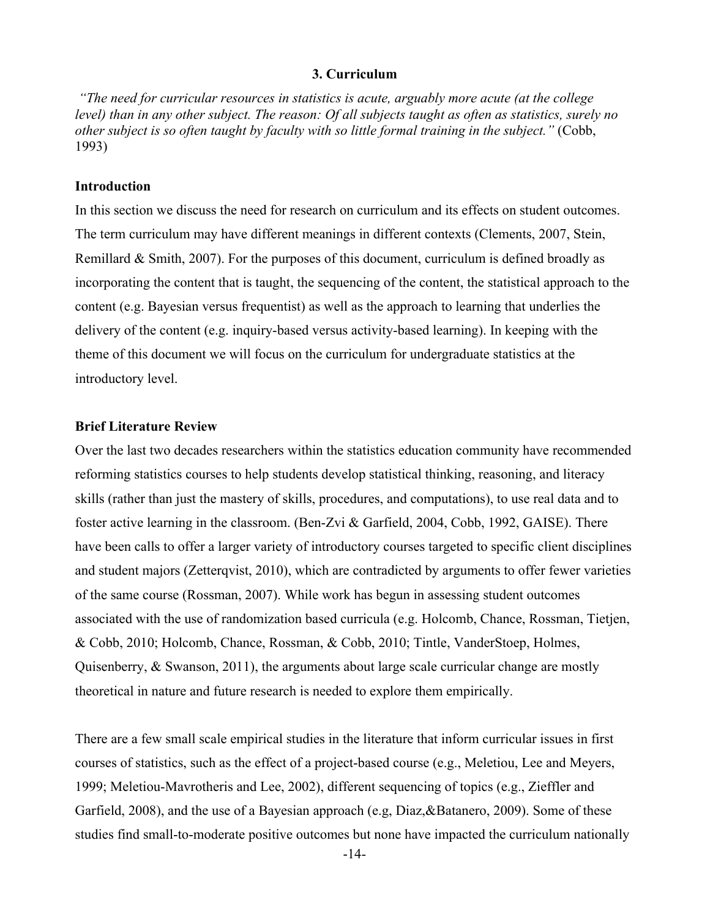#### **3. Curriculum**

*"The need for curricular resources in statistics is acute, arguably more acute (at the college level) than in any other subject. The reason: Of all subjects taught as often as statistics, surely no other subject is so often taught by faculty with so little formal training in the subject."* (Cobb, 1993)

#### **Introduction**

In this section we discuss the need for research on curriculum and its effects on student outcomes. The term curriculum may have different meanings in different contexts (Clements, 2007, Stein, Remillard & Smith, 2007). For the purposes of this document, curriculum is defined broadly as incorporating the content that is taught, the sequencing of the content, the statistical approach to the content (e.g. Bayesian versus frequentist) as well as the approach to learning that underlies the delivery of the content (e.g. inquiry-based versus activity-based learning). In keeping with the theme of this document we will focus on the curriculum for undergraduate statistics at the introductory level.

## **Brief Literature Review**

Over the last two decades researchers within the statistics education community have recommended reforming statistics courses to help students develop statistical thinking, reasoning, and literacy skills (rather than just the mastery of skills, procedures, and computations), to use real data and to foster active learning in the classroom. (Ben-Zvi & Garfield, 2004, Cobb, 1992, GAISE). There have been calls to offer a larger variety of introductory courses targeted to specific client disciplines and student majors (Zetterqvist, 2010), which are contradicted by arguments to offer fewer varieties of the same course (Rossman, 2007). While work has begun in assessing student outcomes associated with the use of randomization based curricula (e.g. Holcomb, Chance, Rossman, Tietjen, & Cobb, 2010; Holcomb, Chance, Rossman, & Cobb, 2010; Tintle, VanderStoep, Holmes, Quisenberry, & Swanson, 2011), the arguments about large scale curricular change are mostly theoretical in nature and future research is needed to explore them empirically.

There are a few small scale empirical studies in the literature that inform curricular issues in first courses of statistics, such as the effect of a project-based course (e.g., Meletiou, Lee and Meyers, 1999; Meletiou-Mavrotheris and Lee, 2002), different sequencing of topics (e.g., Zieffler and Garfield, 2008), and the use of a Bayesian approach (e.g, Diaz,&Batanero, 2009). Some of these studies find small-to-moderate positive outcomes but none have impacted the curriculum nationally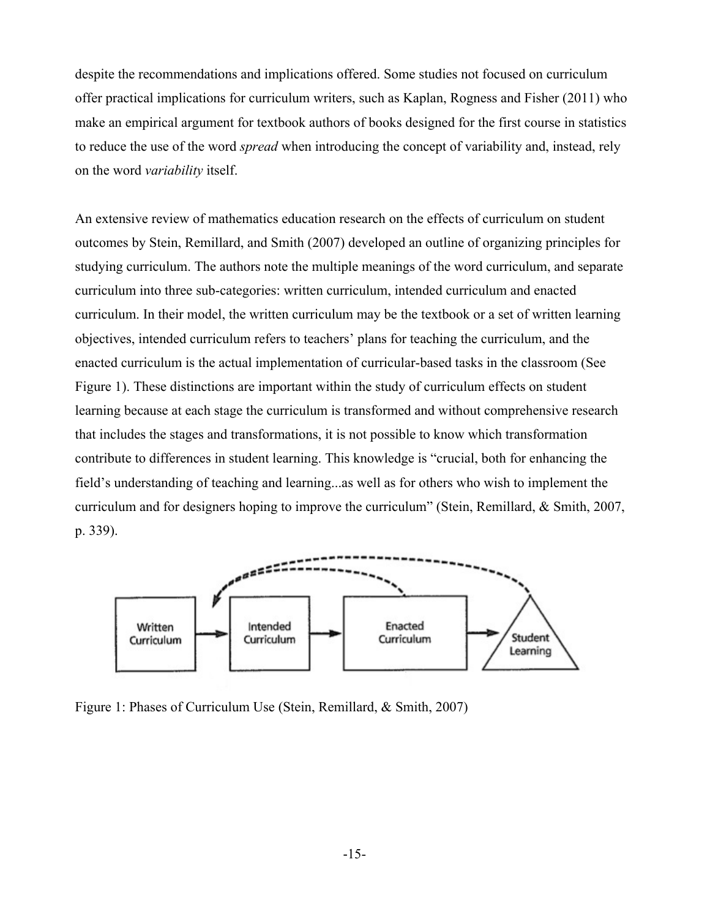despite the recommendations and implications offered. Some studies not focused on curriculum offer practical implications for curriculum writers, such as Kaplan, Rogness and Fisher (2011) who make an empirical argument for textbook authors of books designed for the first course in statistics to reduce the use of the word *spread* when introducing the concept of variability and, instead, rely on the word *variability* itself.

An extensive review of mathematics education research on the effects of curriculum on student outcomes by Stein, Remillard, and Smith (2007) developed an outline of organizing principles for studying curriculum. The authors note the multiple meanings of the word curriculum, and separate curriculum into three sub-categories: written curriculum, intended curriculum and enacted curriculum. In their model, the written curriculum may be the textbook or a set of written learning objectives, intended curriculum refers to teachers' plans for teaching the curriculum, and the enacted curriculum is the actual implementation of curricular-based tasks in the classroom (See Figure 1). These distinctions are important within the study of curriculum effects on student learning because at each stage the curriculum is transformed and without comprehensive research that includes the stages and transformations, it is not possible to know which transformation contribute to differences in student learning. This knowledge is "crucial, both for enhancing the field's understanding of teaching and learning...as well as for others who wish to implement the curriculum and for designers hoping to improve the curriculum" (Stein, Remillard, & Smith, 2007, p. 339).



Figure 1: Phases of Curriculum Use (Stein, Remillard, & Smith, 2007)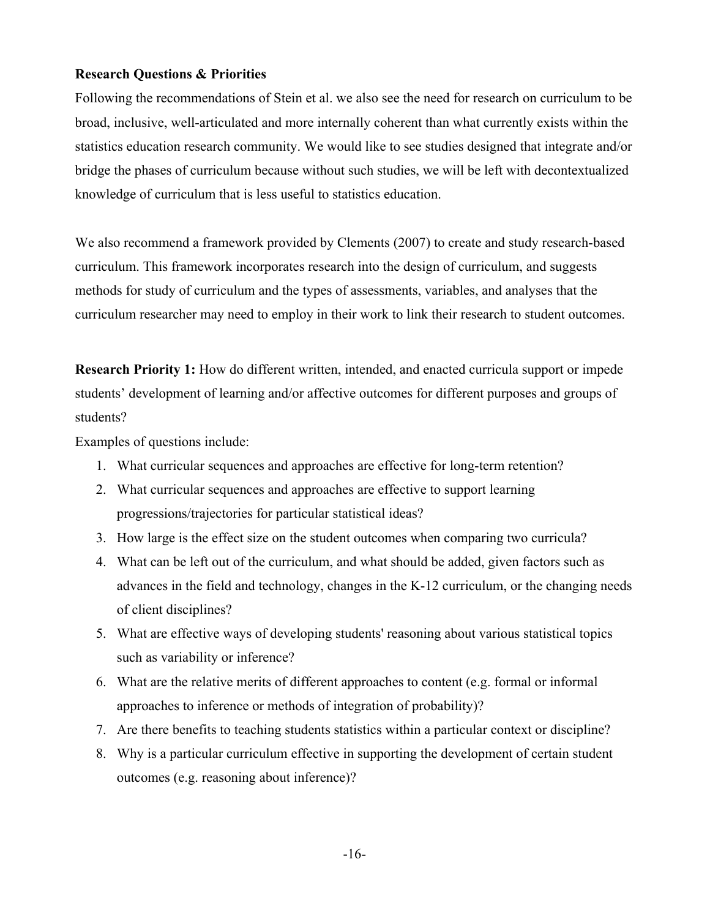# **Research Questions & Priorities**

Following the recommendations of Stein et al. we also see the need for research on curriculum to be broad, inclusive, well-articulated and more internally coherent than what currently exists within the statistics education research community. We would like to see studies designed that integrate and/or bridge the phases of curriculum because without such studies, we will be left with decontextualized knowledge of curriculum that is less useful to statistics education.

We also recommend a framework provided by Clements (2007) to create and study research-based curriculum. This framework incorporates research into the design of curriculum, and suggests methods for study of curriculum and the types of assessments, variables, and analyses that the curriculum researcher may need to employ in their work to link their research to student outcomes.

**Research Priority 1:** How do different written, intended, and enacted curricula support or impede students' development of learning and/or affective outcomes for different purposes and groups of students?

Examples of questions include:

- 1. What curricular sequences and approaches are effective for long-term retention?
- 2. What curricular sequences and approaches are effective to support learning progressions/trajectories for particular statistical ideas?
- 3. How large is the effect size on the student outcomes when comparing two curricula?
- 4. What can be left out of the curriculum, and what should be added, given factors such as advances in the field and technology, changes in the K-12 curriculum, or the changing needs of client disciplines?
- 5. What are effective ways of developing students' reasoning about various statistical topics such as variability or inference?
- 6. What are the relative merits of different approaches to content (e.g. formal or informal approaches to inference or methods of integration of probability)?
- 7. Are there benefits to teaching students statistics within a particular context or discipline?
- 8. Why is a particular curriculum effective in supporting the development of certain student outcomes (e.g. reasoning about inference)?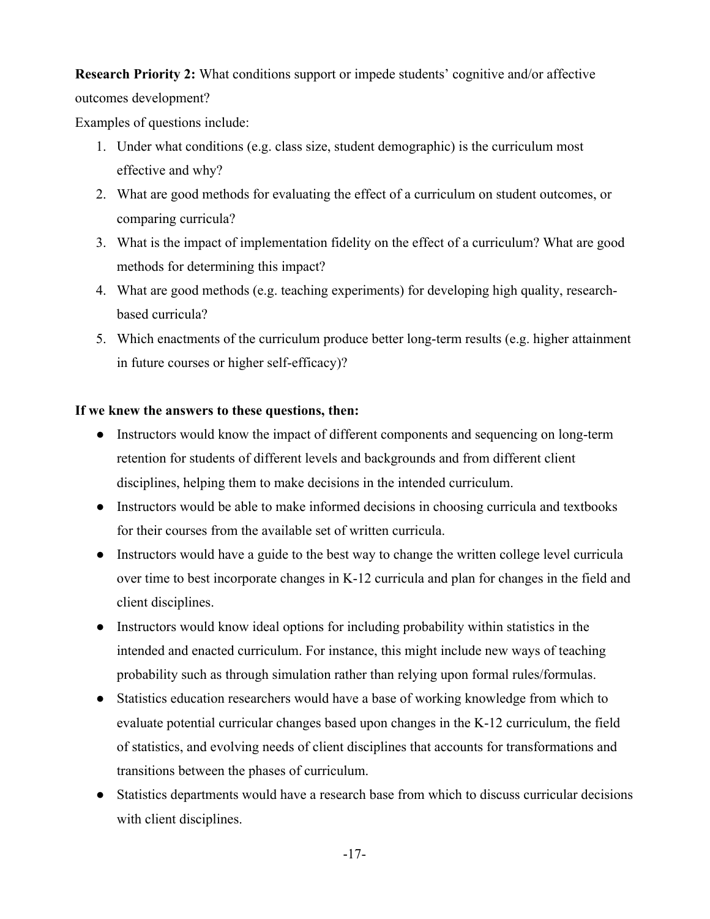**Research Priority 2:** What conditions support or impede students' cognitive and/or affective outcomes development?

Examples of questions include:

- 1. Under what conditions (e.g. class size, student demographic) is the curriculum most effective and why?
- 2. What are good methods for evaluating the effect of a curriculum on student outcomes, or comparing curricula?
- 3. What is the impact of implementation fidelity on the effect of a curriculum? What are good methods for determining this impact?
- 4. What are good methods (e.g. teaching experiments) for developing high quality, researchbased curricula?
- 5. Which enactments of the curriculum produce better long-term results (e.g. higher attainment in future courses or higher self-efficacy)?

# **If we knew the answers to these questions, then:**

- Instructors would know the impact of different components and sequencing on long-term retention for students of different levels and backgrounds and from different client disciplines, helping them to make decisions in the intended curriculum.
- Instructors would be able to make informed decisions in choosing curricula and textbooks for their courses from the available set of written curricula.
- Instructors would have a guide to the best way to change the written college level curricula over time to best incorporate changes in K-12 curricula and plan for changes in the field and client disciplines.
- Instructors would know ideal options for including probability within statistics in the intended and enacted curriculum. For instance, this might include new ways of teaching probability such as through simulation rather than relying upon formal rules/formulas.
- Statistics education researchers would have a base of working knowledge from which to evaluate potential curricular changes based upon changes in the K-12 curriculum, the field of statistics, and evolving needs of client disciplines that accounts for transformations and transitions between the phases of curriculum.
- Statistics departments would have a research base from which to discuss curricular decisions with client disciplines.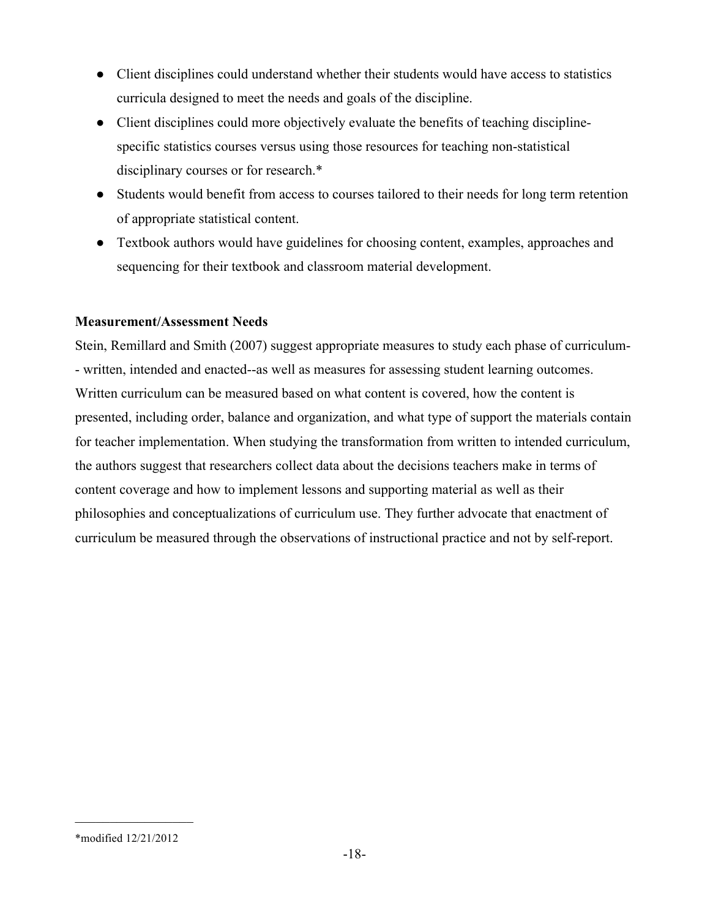- Client disciplines could understand whether their students would have access to statistics curricula designed to meet the needs and goals of the discipline.
- Client disciplines could more objectively evaluate the benefits of teaching disciplinespecific statistics courses versus using those resources for teaching non-statistical disciplinary courses or for research.\*
- Students would benefit from access to courses tailored to their needs for long term retention of appropriate statistical content.
- Textbook authors would have guidelines for choosing content, examples, approaches and sequencing for their textbook and classroom material development.

# **Measurement/Assessment Needs**

Stein, Remillard and Smith (2007) suggest appropriate measures to study each phase of curriculum- - written, intended and enacted--as well as measures for assessing student learning outcomes. Written curriculum can be measured based on what content is covered, how the content is presented, including order, balance and organization, and what type of support the materials contain for teacher implementation. When studying the transformation from written to intended curriculum, the authors suggest that researchers collect data about the decisions teachers make in terms of content coverage and how to implement lessons and supporting material as well as their philosophies and conceptualizations of curriculum use. They further advocate that enactment of curriculum be measured through the observations of instructional practice and not by self-report.

 $\frac{1}{2}$  ,  $\frac{1}{2}$  ,  $\frac{1}{2}$  ,  $\frac{1}{2}$  ,  $\frac{1}{2}$  ,  $\frac{1}{2}$  ,  $\frac{1}{2}$  ,  $\frac{1}{2}$  ,  $\frac{1}{2}$ 

<sup>\*</sup>modified 12/21/2012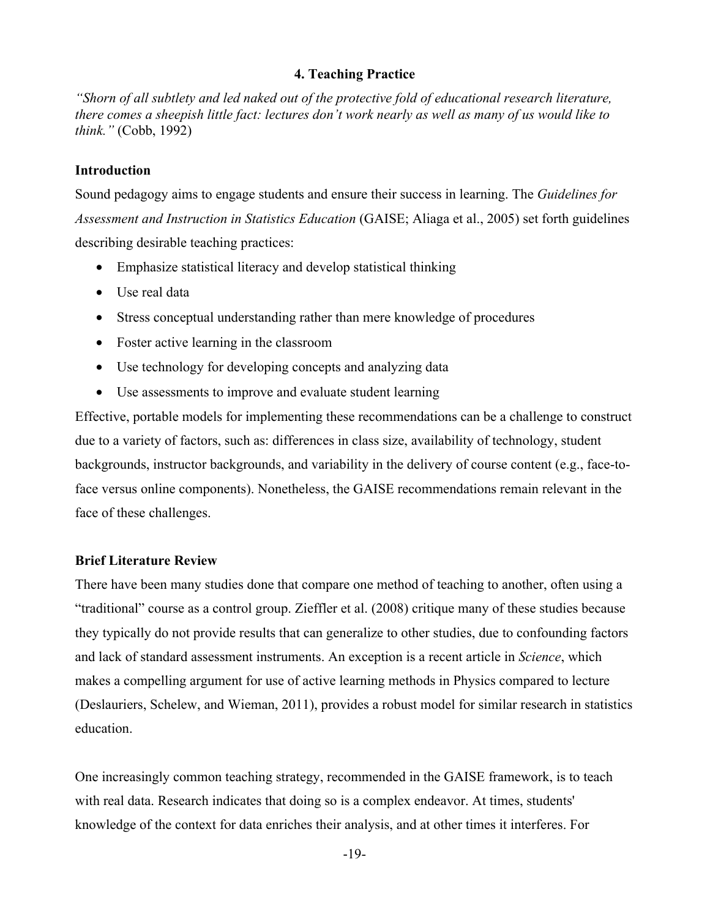## **4. Teaching Practice**

*"Shorn of all subtlety and led naked out of the protective fold of educational research literature, there comes a sheepish little fact: lectures don't work nearly as well as many of us would like to think."* (Cobb, 1992)

## **Introduction**

Sound pedagogy aims to engage students and ensure their success in learning. The *Guidelines for Assessment and Instruction in Statistics Education* (GAISE; Aliaga et al., 2005) set forth guidelines describing desirable teaching practices:

- Emphasize statistical literacy and develop statistical thinking
- Use real data
- Stress conceptual understanding rather than mere knowledge of procedures
- Foster active learning in the classroom
- Use technology for developing concepts and analyzing data
- Use assessments to improve and evaluate student learning

Effective, portable models for implementing these recommendations can be a challenge to construct due to a variety of factors, such as: differences in class size, availability of technology, student backgrounds, instructor backgrounds, and variability in the delivery of course content (e.g., face-toface versus online components). Nonetheless, the GAISE recommendations remain relevant in the face of these challenges.

#### **Brief Literature Review**

There have been many studies done that compare one method of teaching to another, often using a "traditional" course as a control group. Zieffler et al. (2008) critique many of these studies because they typically do not provide results that can generalize to other studies, due to confounding factors and lack of standard assessment instruments. An exception is a recent article in *Science*, which makes a compelling argument for use of active learning methods in Physics compared to lecture (Deslauriers, Schelew, and Wieman, 2011), provides a robust model for similar research in statistics education.

One increasingly common teaching strategy, recommended in the GAISE framework, is to teach with real data. Research indicates that doing so is a complex endeavor. At times, students' knowledge of the context for data enriches their analysis, and at other times it interferes. For

-19-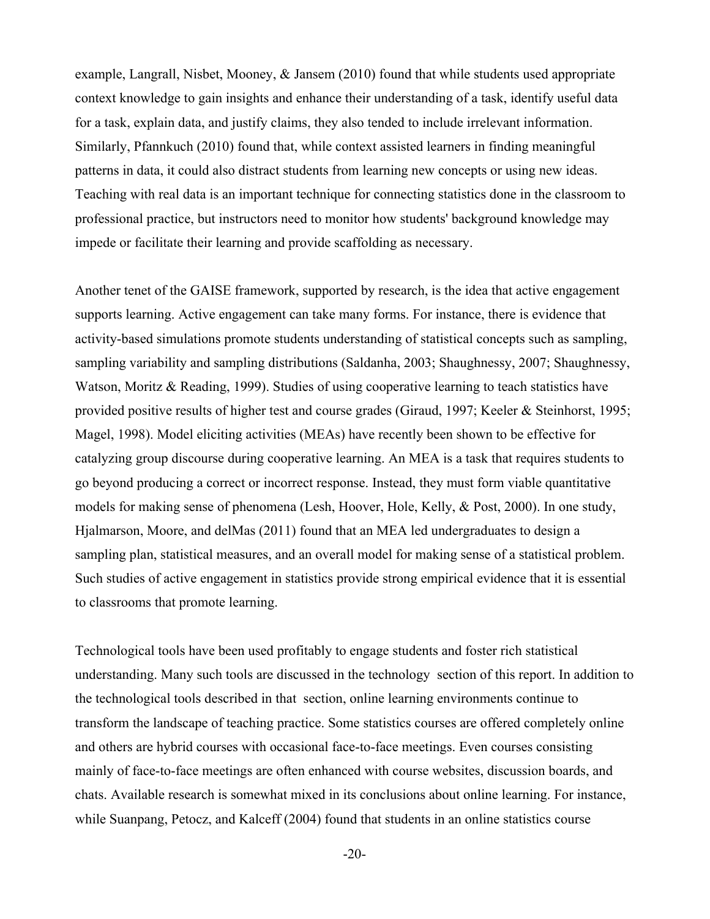example, Langrall, Nisbet, Mooney, & Jansem (2010) found that while students used appropriate context knowledge to gain insights and enhance their understanding of a task, identify useful data for a task, explain data, and justify claims, they also tended to include irrelevant information. Similarly, Pfannkuch (2010) found that, while context assisted learners in finding meaningful patterns in data, it could also distract students from learning new concepts or using new ideas. Teaching with real data is an important technique for connecting statistics done in the classroom to professional practice, but instructors need to monitor how students' background knowledge may impede or facilitate their learning and provide scaffolding as necessary.

Another tenet of the GAISE framework, supported by research, is the idea that active engagement supports learning. Active engagement can take many forms. For instance, there is evidence that activity-based simulations promote students understanding of statistical concepts such as sampling, sampling variability and sampling distributions (Saldanha, 2003; Shaughnessy, 2007; Shaughnessy, Watson, Moritz & Reading, 1999). Studies of using cooperative learning to teach statistics have provided positive results of higher test and course grades (Giraud, 1997; Keeler & Steinhorst, 1995; Magel, 1998). Model eliciting activities (MEAs) have recently been shown to be effective for catalyzing group discourse during cooperative learning. An MEA is a task that requires students to go beyond producing a correct or incorrect response. Instead, they must form viable quantitative models for making sense of phenomena (Lesh, Hoover, Hole, Kelly, & Post, 2000). In one study, Hjalmarson, Moore, and delMas (2011) found that an MEA led undergraduates to design a sampling plan, statistical measures, and an overall model for making sense of a statistical problem. Such studies of active engagement in statistics provide strong empirical evidence that it is essential to classrooms that promote learning.

Technological tools have been used profitably to engage students and foster rich statistical understanding. Many such tools are discussed in the technology section of this report. In addition to the technological tools described in that section, online learning environments continue to transform the landscape of teaching practice. Some statistics courses are offered completely online and others are hybrid courses with occasional face-to-face meetings. Even courses consisting mainly of face-to-face meetings are often enhanced with course websites, discussion boards, and chats. Available research is somewhat mixed in its conclusions about online learning. For instance, while Suanpang, Petocz, and Kalceff (2004) found that students in an online statistics course

-20-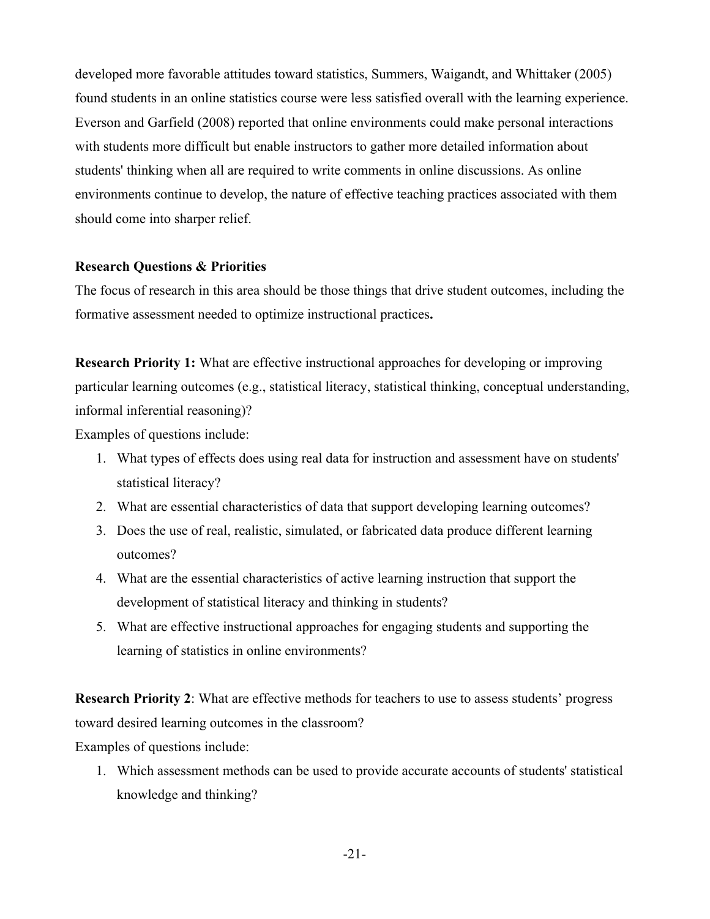developed more favorable attitudes toward statistics, Summers, Waigandt, and Whittaker (2005) found students in an online statistics course were less satisfied overall with the learning experience. Everson and Garfield (2008) reported that online environments could make personal interactions with students more difficult but enable instructors to gather more detailed information about students' thinking when all are required to write comments in online discussions. As online environments continue to develop, the nature of effective teaching practices associated with them should come into sharper relief.

# **Research Questions & Priorities**

The focus of research in this area should be those things that drive student outcomes, including the formative assessment needed to optimize instructional practices**.**

**Research Priority 1:** What are effective instructional approaches for developing or improving particular learning outcomes (e.g., statistical literacy, statistical thinking, conceptual understanding, informal inferential reasoning)?

Examples of questions include:

- 1. What types of effects does using real data for instruction and assessment have on students' statistical literacy?
- 2. What are essential characteristics of data that support developing learning outcomes?
- 3. Does the use of real, realistic, simulated, or fabricated data produce different learning outcomes?
- 4. What are the essential characteristics of active learning instruction that support the development of statistical literacy and thinking in students?
- 5. What are effective instructional approaches for engaging students and supporting the learning of statistics in online environments?

**Research Priority 2**: What are effective methods for teachers to use to assess students' progress toward desired learning outcomes in the classroom?

Examples of questions include:

1. Which assessment methods can be used to provide accurate accounts of students' statistical knowledge and thinking?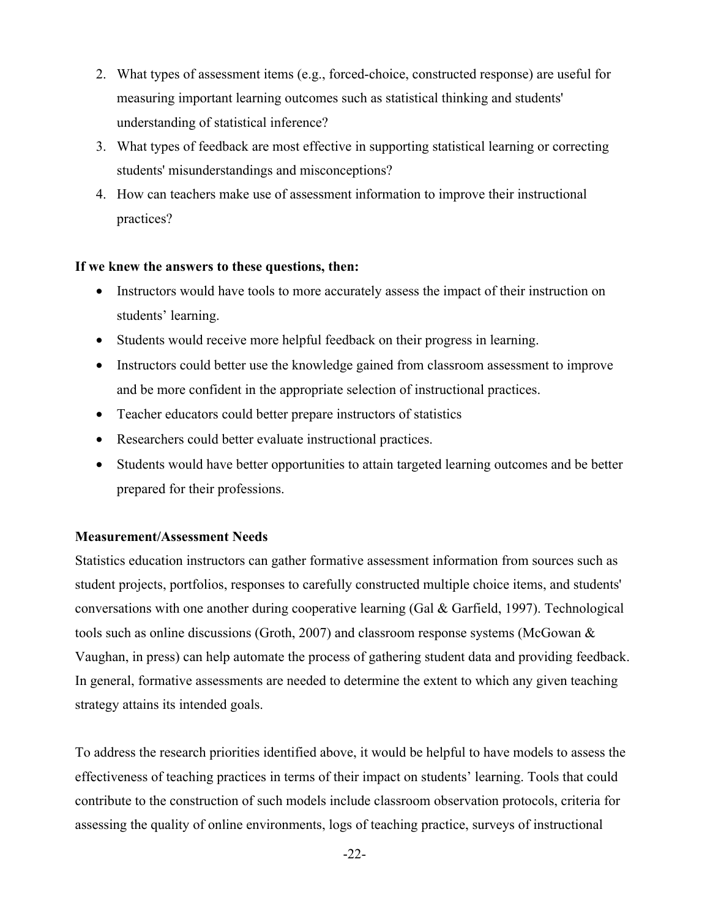- 2. What types of assessment items (e.g., forced-choice, constructed response) are useful for measuring important learning outcomes such as statistical thinking and students' understanding of statistical inference?
- 3. What types of feedback are most effective in supporting statistical learning or correcting students' misunderstandings and misconceptions?
- 4. How can teachers make use of assessment information to improve their instructional practices?

# **If we knew the answers to these questions, then:**

- Instructors would have tools to more accurately assess the impact of their instruction on students' learning.
- Students would receive more helpful feedback on their progress in learning.
- Instructors could better use the knowledge gained from classroom assessment to improve and be more confident in the appropriate selection of instructional practices.
- Teacher educators could better prepare instructors of statistics
- Researchers could better evaluate instructional practices.
- Students would have better opportunities to attain targeted learning outcomes and be better prepared for their professions.

# **Measurement/Assessment Needs**

Statistics education instructors can gather formative assessment information from sources such as student projects, portfolios, responses to carefully constructed multiple choice items, and students' conversations with one another during cooperative learning (Gal  $\&$  Garfield, 1997). Technological tools such as online discussions (Groth, 2007) and classroom response systems (McGowan & Vaughan, in press) can help automate the process of gathering student data and providing feedback. In general, formative assessments are needed to determine the extent to which any given teaching strategy attains its intended goals.

To address the research priorities identified above, it would be helpful to have models to assess the effectiveness of teaching practices in terms of their impact on students' learning. Tools that could contribute to the construction of such models include classroom observation protocols, criteria for assessing the quality of online environments, logs of teaching practice, surveys of instructional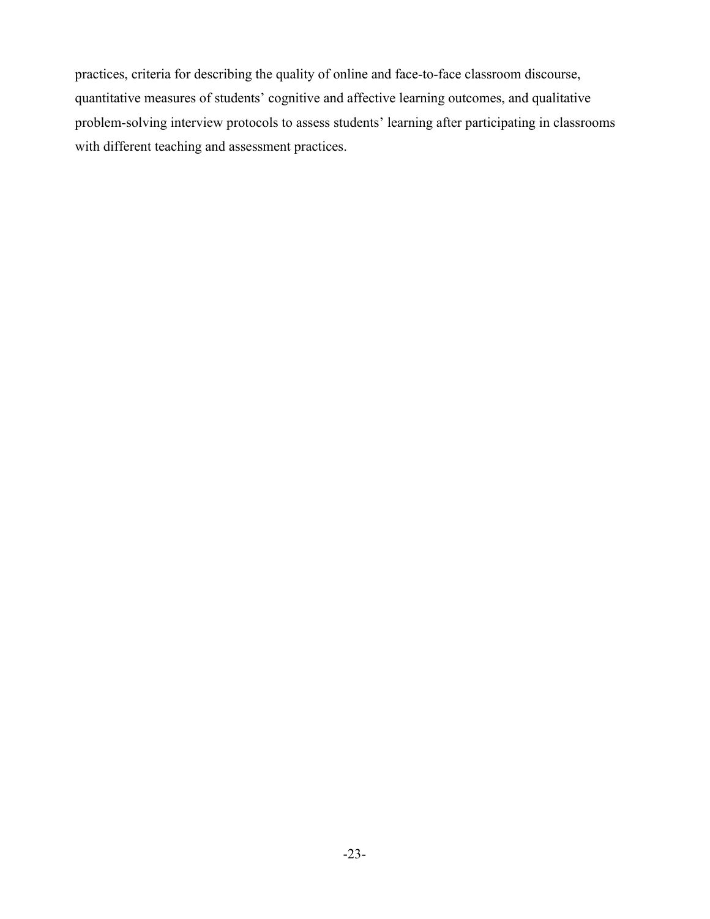practices, criteria for describing the quality of online and face-to-face classroom discourse, quantitative measures of students' cognitive and affective learning outcomes, and qualitative problem-solving interview protocols to assess students' learning after participating in classrooms with different teaching and assessment practices.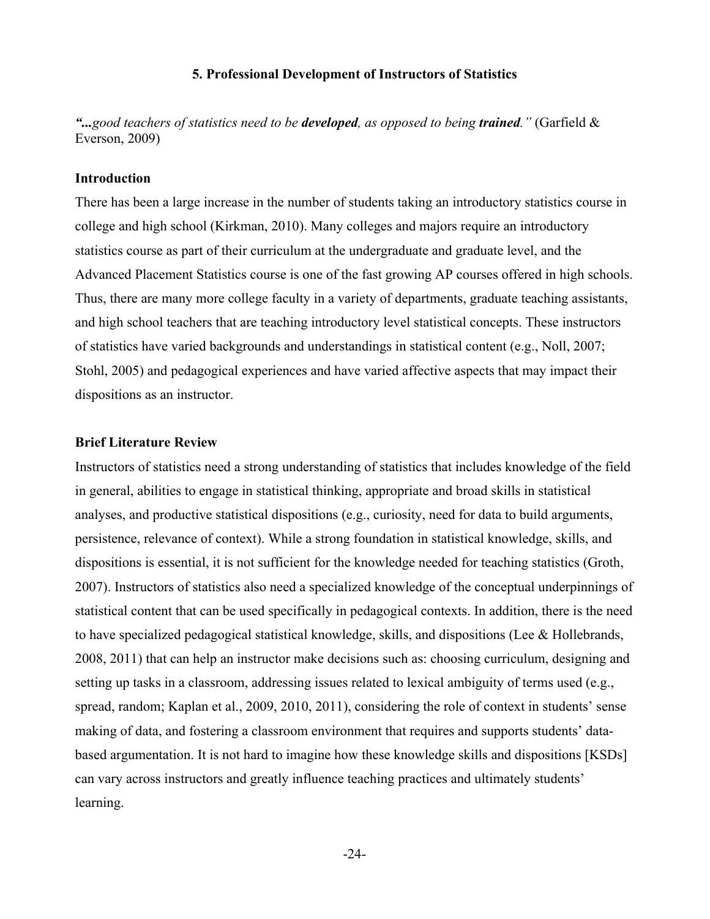#### **5. Professional Development of Instructors of Statistics**

*"...good teachers of statistics need to be developed, as opposed to being trained."* (Garfield & Everson, 2009)

#### **Introduction**

There has been a large increase in the number of students taking an introductory statistics course in college and high school (Kirkman, 2010). Many colleges and majors require an introductory statistics course as part of their curriculum at the undergraduate and graduate level, and the Advanced Placement Statistics course is one of the fast growing AP courses offered in high schools. Thus, there are many more college faculty in a variety of departments, graduate teaching assistants, and high school teachers that are teaching introductory level statistical concepts. These instructors of statistics have varied backgrounds and understandings in statistical content (e.g., Noll, 2007; Stohl, 2005) and pedagogical experiences and have varied affective aspects that may impact their dispositions as an instructor.

## **Brief Literature Review**

Instructors of statistics need a strong understanding of statistics that includes knowledge of the field in general, abilities to engage in statistical thinking, appropriate and broad skills in statistical analyses, and productive statistical dispositions (e.g., curiosity, need for data to build arguments, persistence, relevance of context). While a strong foundation in statistical knowledge, skills, and dispositions is essential, it is not sufficient for the knowledge needed for teaching statistics (Groth, 2007). Instructors of statistics also need a specialized knowledge of the conceptual underpinnings of statistical content that can be used specifically in pedagogical contexts. In addition, there is the need to have specialized pedagogical statistical knowledge, skills, and dispositions (Lee  $\&$  Hollebrands, 2008, 2011) that can help an instructor make decisions such as: choosing curriculum, designing and setting up tasks in a classroom, addressing issues related to lexical ambiguity of terms used (e.g., spread, random; Kaplan et al., 2009, 2010, 2011), considering the role of context in students' sense making of data, and fostering a classroom environment that requires and supports students' databased argumentation. It is not hard to imagine how these knowledge skills and dispositions [KSDs] can vary across instructors and greatly influence teaching practices and ultimately students' learning.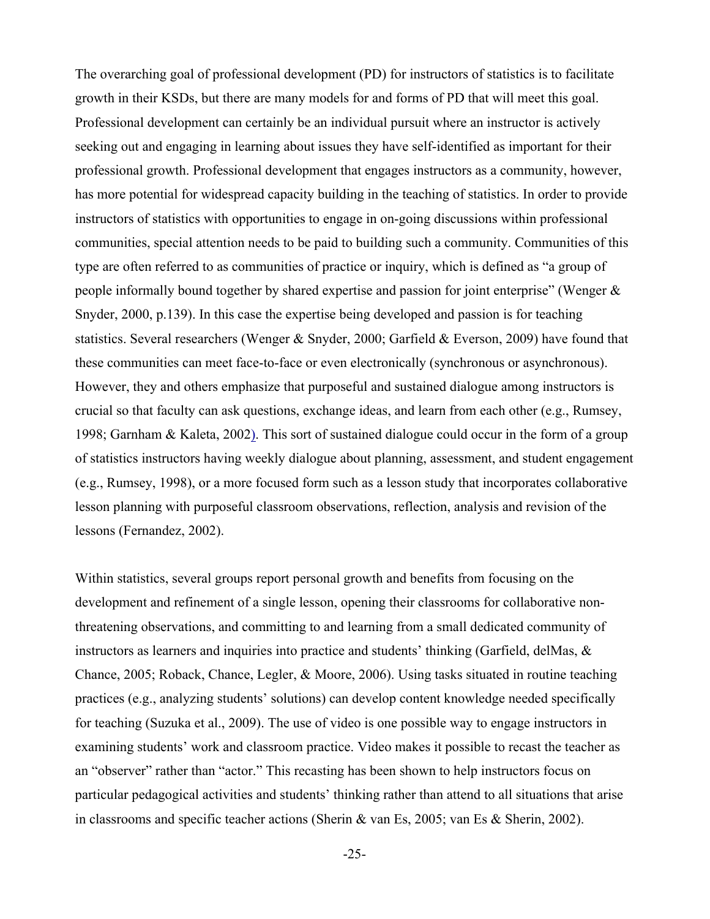The overarching goal of professional development (PD) for instructors of statistics is to facilitate growth in their KSDs, but there are many models for and forms of PD that will meet this goal. Professional development can certainly be an individual pursuit where an instructor is actively seeking out and engaging in learning about issues they have self-identified as important for their professional growth. Professional development that engages instructors as a community, however, has more potential for widespread capacity building in the teaching of statistics. In order to provide instructors of statistics with opportunities to engage in on-going discussions within professional communities, special attention needs to be paid to building such a community. Communities of this type are often referred to as communities of practice or inquiry, which is defined as "a group of people informally bound together by shared expertise and passion for joint enterprise" (Wenger & Snyder, 2000, p.139). In this case the expertise being developed and passion is for teaching statistics. Several researchers (Wenger & Snyder, 2000; Garfield & Everson, 2009) have found that these communities can meet face-to-face or even electronically (synchronous or asynchronous). However, they and others emphasize that purposeful and sustained dialogue among instructors is crucial so that faculty can ask questions, exchange ideas, and learn from each other (e.g., Rumsey, 1998; Garnham & Kaleta, 2002). This sort of sustained dialogue could occur in the form of a group of statistics instructors having weekly dialogue about planning, assessment, and student engagement (e.g., Rumsey, 1998), or a more focused form such as a lesson study that incorporates collaborative lesson planning with purposeful classroom observations, reflection, analysis and revision of the lessons (Fernandez, 2002).

Within statistics, several groups report personal growth and benefits from focusing on the development and refinement of a single lesson, opening their classrooms for collaborative nonthreatening observations, and committing to and learning from a small dedicated community of instructors as learners and inquiries into practice and students' thinking (Garfield, delMas, & Chance, 2005; Roback, Chance, Legler, & Moore, 2006). Using tasks situated in routine teaching practices (e.g., analyzing students' solutions) can develop content knowledge needed specifically for teaching (Suzuka et al., 2009). The use of video is one possible way to engage instructors in examining students' work and classroom practice. Video makes it possible to recast the teacher as an "observer" rather than "actor." This recasting has been shown to help instructors focus on particular pedagogical activities and students' thinking rather than attend to all situations that arise in classrooms and specific teacher actions (Sherin & van Es, 2005; van Es & Sherin, 2002).

<sup>-</sup>25-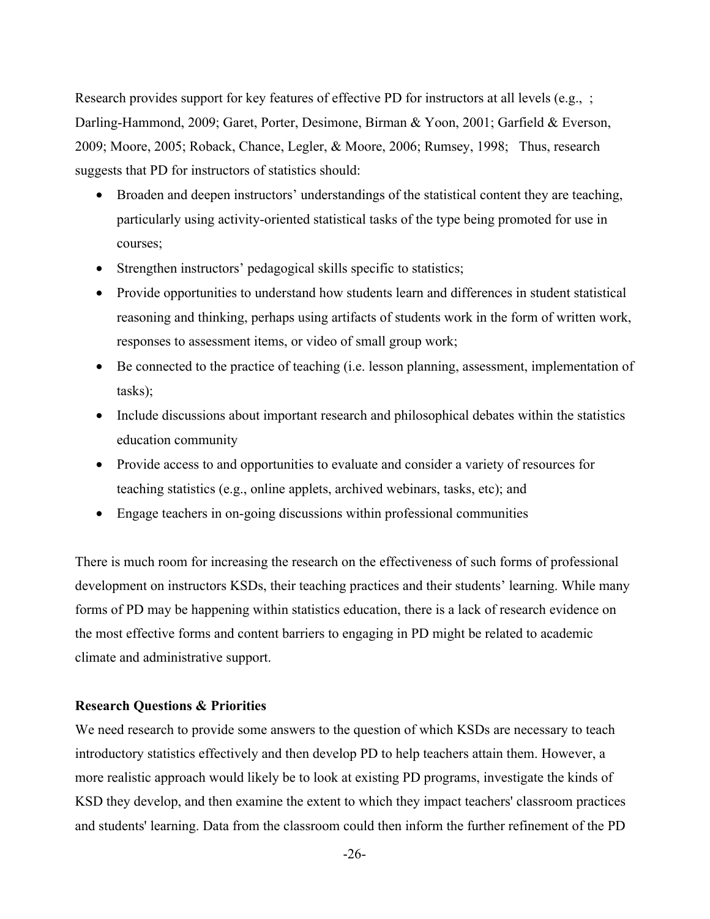Research provides support for key features of effective PD for instructors at all levels (e.g., ; Darling-Hammond, 2009; Garet, Porter, Desimone, Birman & Yoon, 2001; Garfield & Everson, 2009; Moore, 2005; Roback, Chance, Legler, & Moore, 2006; Rumsey, 1998; Thus, research suggests that PD for instructors of statistics should:

- Broaden and deepen instructors' understandings of the statistical content they are teaching, particularly using activity-oriented statistical tasks of the type being promoted for use in courses;
- Strengthen instructors' pedagogical skills specific to statistics;
- Provide opportunities to understand how students learn and differences in student statistical reasoning and thinking, perhaps using artifacts of students work in the form of written work, responses to assessment items, or video of small group work;
- Be connected to the practice of teaching (i.e. lesson planning, assessment, implementation of tasks);
- Include discussions about important research and philosophical debates within the statistics education community
- Provide access to and opportunities to evaluate and consider a variety of resources for teaching statistics (e.g., online applets, archived webinars, tasks, etc); and
- Engage teachers in on-going discussions within professional communities

There is much room for increasing the research on the effectiveness of such forms of professional development on instructors KSDs, their teaching practices and their students' learning. While many forms of PD may be happening within statistics education, there is a lack of research evidence on the most effective forms and content barriers to engaging in PD might be related to academic climate and administrative support.

## **Research Questions & Priorities**

We need research to provide some answers to the question of which KSDs are necessary to teach introductory statistics effectively and then develop PD to help teachers attain them. However, a more realistic approach would likely be to look at existing PD programs, investigate the kinds of KSD they develop, and then examine the extent to which they impact teachers' classroom practices and students' learning. Data from the classroom could then inform the further refinement of the PD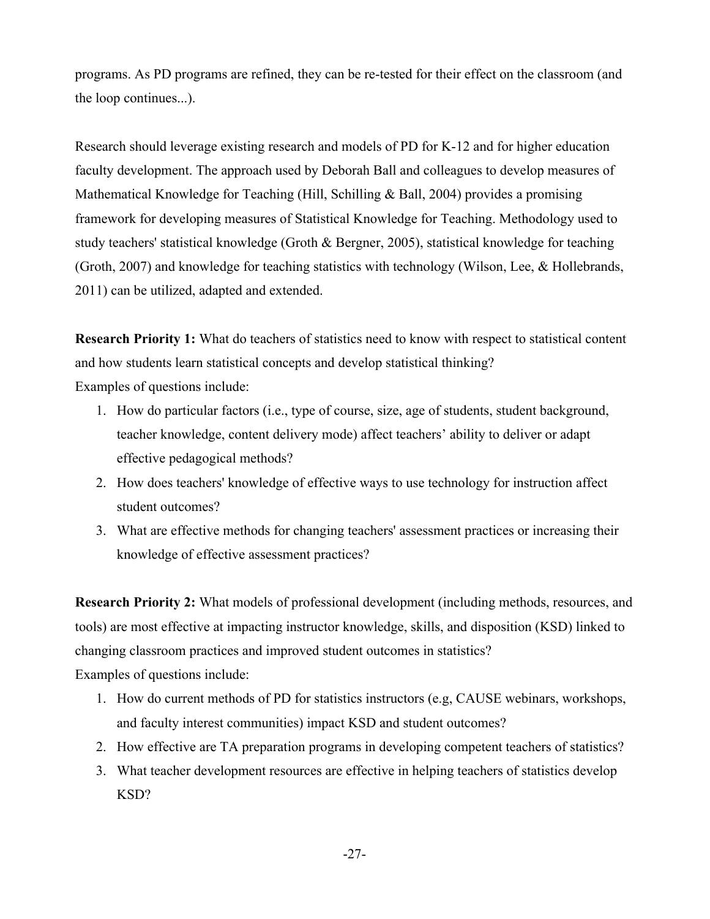programs. As PD programs are refined, they can be re-tested for their effect on the classroom (and the loop continues...).

Research should leverage existing research and models of PD for K-12 and for higher education faculty development. The approach used by Deborah Ball and colleagues to develop measures of Mathematical Knowledge for Teaching (Hill, Schilling & Ball, 2004) provides a promising framework for developing measures of Statistical Knowledge for Teaching. Methodology used to study teachers' statistical knowledge (Groth & Bergner, 2005), statistical knowledge for teaching (Groth, 2007) and knowledge for teaching statistics with technology (Wilson, Lee, & Hollebrands, 2011) can be utilized, adapted and extended.

**Research Priority 1:** What do teachers of statistics need to know with respect to statistical content and how students learn statistical concepts and develop statistical thinking? Examples of questions include:

- 1. How do particular factors (i.e., type of course, size, age of students, student background, teacher knowledge, content delivery mode) affect teachers' ability to deliver or adapt effective pedagogical methods?
- 2. How does teachers' knowledge of effective ways to use technology for instruction affect student outcomes?
- 3. What are effective methods for changing teachers' assessment practices or increasing their knowledge of effective assessment practices?

**Research Priority 2:** What models of professional development (including methods, resources, and tools) are most effective at impacting instructor knowledge, skills, and disposition (KSD) linked to changing classroom practices and improved student outcomes in statistics?

Examples of questions include:

- 1. How do current methods of PD for statistics instructors (e.g, CAUSE webinars, workshops, and faculty interest communities) impact KSD and student outcomes?
- 2. How effective are TA preparation programs in developing competent teachers of statistics?
- 3. What teacher development resources are effective in helping teachers of statistics develop KSD?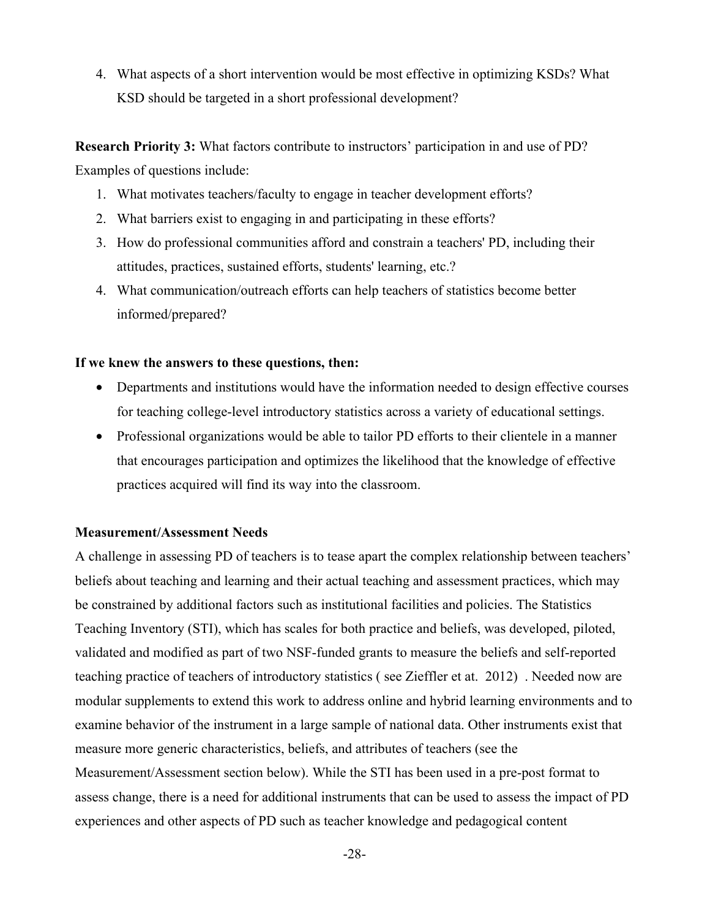4. What aspects of a short intervention would be most effective in optimizing KSDs? What KSD should be targeted in a short professional development?

**Research Priority 3:** What factors contribute to instructors' participation in and use of PD? Examples of questions include:

- 1. What motivates teachers/faculty to engage in teacher development efforts?
- 2. What barriers exist to engaging in and participating in these efforts?
- 3. How do professional communities afford and constrain a teachers' PD, including their attitudes, practices, sustained efforts, students' learning, etc.?
- 4. What communication/outreach efforts can help teachers of statistics become better informed/prepared?

## **If we knew the answers to these questions, then:**

- Departments and institutions would have the information needed to design effective courses for teaching college-level introductory statistics across a variety of educational settings.
- Professional organizations would be able to tailor PD efforts to their clientele in a manner that encourages participation and optimizes the likelihood that the knowledge of effective practices acquired will find its way into the classroom.

#### **Measurement/Assessment Needs**

A challenge in assessing PD of teachers is to tease apart the complex relationship between teachers' beliefs about teaching and learning and their actual teaching and assessment practices, which may be constrained by additional factors such as institutional facilities and policies. The Statistics Teaching Inventory (STI), which has scales for both practice and beliefs, was developed, piloted, validated and modified as part of two NSF-funded grants to measure the beliefs and self-reported teaching practice of teachers of introductory statistics ( see Zieffler et at. 2012) . Needed now are modular supplements to extend this work to address online and hybrid learning environments and to examine behavior of the instrument in a large sample of national data. Other instruments exist that measure more generic characteristics, beliefs, and attributes of teachers (see the Measurement/Assessment section below). While the STI has been used in a pre-post format to assess change, there is a need for additional instruments that can be used to assess the impact of PD experiences and other aspects of PD such as teacher knowledge and pedagogical content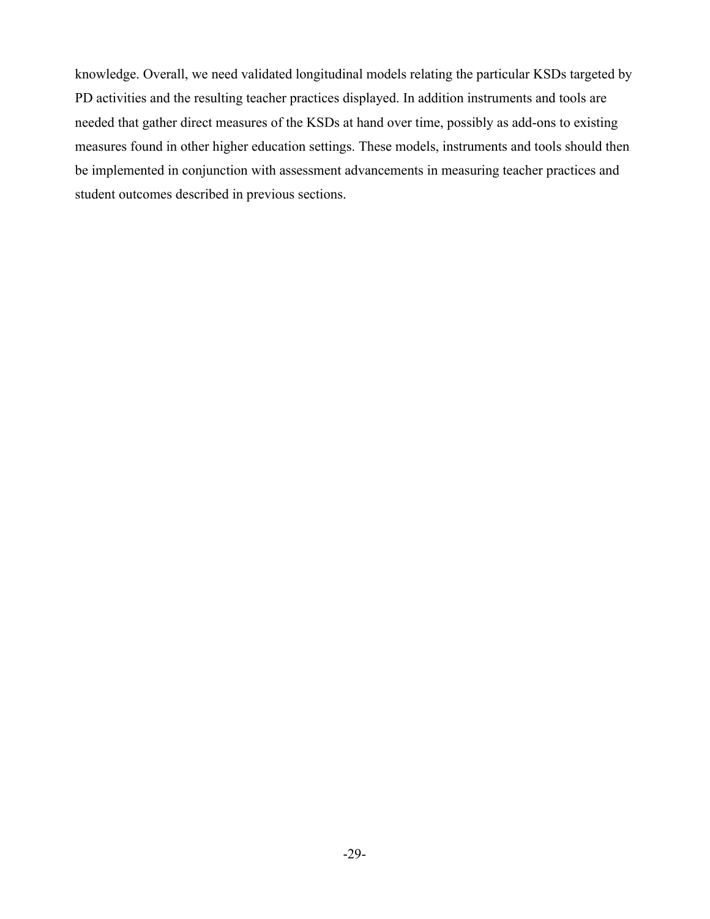knowledge. Overall, we need validated longitudinal models relating the particular KSDs targeted by PD activities and the resulting teacher practices displayed. In addition instruments and tools are needed that gather direct measures of the KSDs at hand over time, possibly as add-ons to existing measures found in other higher education settings. These models, instruments and tools should then be implemented in conjunction with assessment advancements in measuring teacher practices and student outcomes described in previous sections.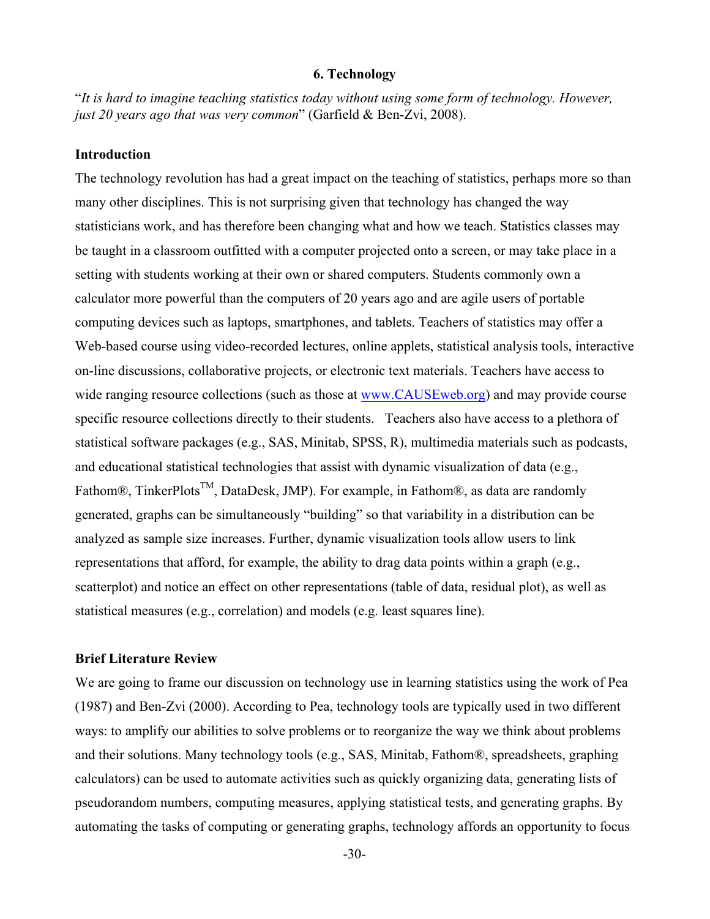#### **6. Technology**

"*It is hard to imagine teaching statistics today without using some form of technology. However, just 20 years ago that was very common*" (Garfield & Ben-Zvi, 2008).

## **Introduction**

The technology revolution has had a great impact on the teaching of statistics, perhaps more so than many other disciplines. This is not surprising given that technology has changed the way statisticians work, and has therefore been changing what and how we teach. Statistics classes may be taught in a classroom outfitted with a computer projected onto a screen, or may take place in a setting with students working at their own or shared computers. Students commonly own a calculator more powerful than the computers of 20 years ago and are agile users of portable computing devices such as laptops, smartphones, and tablets. Teachers of statistics may offer a Web-based course using video-recorded lectures, online applets, statistical analysis tools, interactive on-line discussions, collaborative projects, or electronic text materials. Teachers have access to wide ranging resource collections (such as those at www.CAUSEweb.org) and may provide course specific resource collections directly to their students. Teachers also have access to a plethora of statistical software packages (e.g., SAS, Minitab, SPSS, R), multimedia materials such as podcasts, and educational statistical technologies that assist with dynamic visualization of data (e.g., Fathom®, TinkerPlots<sup>™</sup>, DataDesk, JMP). For example, in Fathom®, as data are randomly generated, graphs can be simultaneously "building" so that variability in a distribution can be analyzed as sample size increases. Further, dynamic visualization tools allow users to link representations that afford, for example, the ability to drag data points within a graph (e.g., scatterplot) and notice an effect on other representations (table of data, residual plot), as well as statistical measures (e.g., correlation) and models (e.g. least squares line).

### **Brief Literature Review**

We are going to frame our discussion on technology use in learning statistics using the work of Pea (1987) and Ben-Zvi (2000). According to Pea, technology tools are typically used in two different ways: to amplify our abilities to solve problems or to reorganize the way we think about problems and their solutions. Many technology tools (e.g., SAS, Minitab, Fathom®, spreadsheets, graphing calculators) can be used to automate activities such as quickly organizing data, generating lists of pseudorandom numbers, computing measures, applying statistical tests, and generating graphs. By automating the tasks of computing or generating graphs, technology affords an opportunity to focus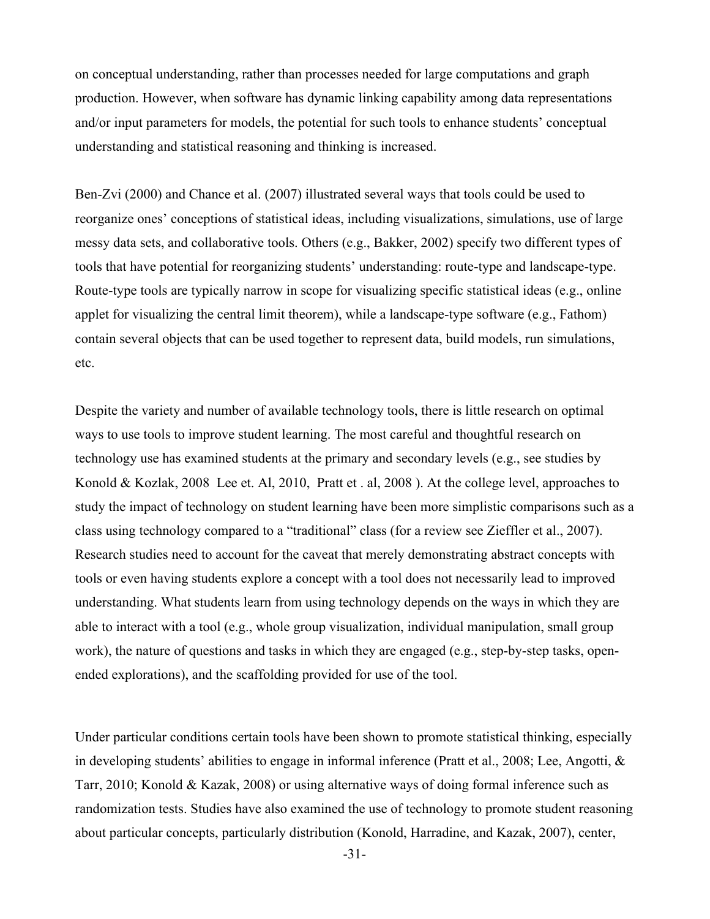on conceptual understanding, rather than processes needed for large computations and graph production. However, when software has dynamic linking capability among data representations and/or input parameters for models, the potential for such tools to enhance students' conceptual understanding and statistical reasoning and thinking is increased.

Ben-Zvi (2000) and Chance et al. (2007) illustrated several ways that tools could be used to reorganize ones' conceptions of statistical ideas, including visualizations, simulations, use of large messy data sets, and collaborative tools. Others (e.g., Bakker, 2002) specify two different types of tools that have potential for reorganizing students' understanding: route-type and landscape-type. Route-type tools are typically narrow in scope for visualizing specific statistical ideas (e.g., online applet for visualizing the central limit theorem), while a landscape-type software (e.g., Fathom) contain several objects that can be used together to represent data, build models, run simulations, etc.

Despite the variety and number of available technology tools, there is little research on optimal ways to use tools to improve student learning. The most careful and thoughtful research on technology use has examined students at the primary and secondary levels (e.g., see studies by Konold & Kozlak, 2008 Lee et. Al, 2010, Pratt et . al, 2008 ). At the college level, approaches to study the impact of technology on student learning have been more simplistic comparisons such as a class using technology compared to a "traditional" class (for a review see Zieffler et al., 2007). Research studies need to account for the caveat that merely demonstrating abstract concepts with tools or even having students explore a concept with a tool does not necessarily lead to improved understanding. What students learn from using technology depends on the ways in which they are able to interact with a tool (e.g., whole group visualization, individual manipulation, small group work), the nature of questions and tasks in which they are engaged (e.g., step-by-step tasks, openended explorations), and the scaffolding provided for use of the tool.

Under particular conditions certain tools have been shown to promote statistical thinking, especially in developing students' abilities to engage in informal inference (Pratt et al., 2008; Lee, Angotti, & Tarr, 2010; Konold & Kazak, 2008) or using alternative ways of doing formal inference such as randomization tests. Studies have also examined the use of technology to promote student reasoning about particular concepts, particularly distribution (Konold, Harradine, and Kazak, 2007), center,

-31-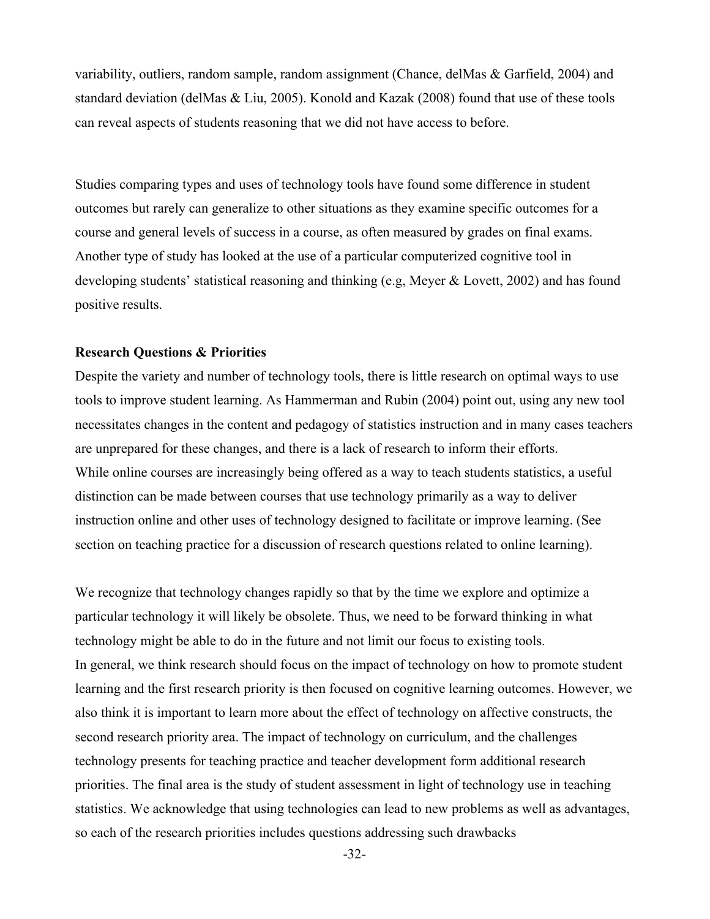variability, outliers, random sample, random assignment (Chance, delMas & Garfield, 2004) and standard deviation (delMas & Liu, 2005). Konold and Kazak (2008) found that use of these tools can reveal aspects of students reasoning that we did not have access to before.

Studies comparing types and uses of technology tools have found some difference in student outcomes but rarely can generalize to other situations as they examine specific outcomes for a course and general levels of success in a course, as often measured by grades on final exams. Another type of study has looked at the use of a particular computerized cognitive tool in developing students' statistical reasoning and thinking (e.g, Meyer & Lovett, 2002) and has found positive results.

## **Research Questions & Priorities**

Despite the variety and number of technology tools, there is little research on optimal ways to use tools to improve student learning. As Hammerman and Rubin (2004) point out, using any new tool necessitates changes in the content and pedagogy of statistics instruction and in many cases teachers are unprepared for these changes, and there is a lack of research to inform their efforts. While online courses are increasingly being offered as a way to teach students statistics, a useful distinction can be made between courses that use technology primarily as a way to deliver instruction online and other uses of technology designed to facilitate or improve learning. (See section on teaching practice for a discussion of research questions related to online learning).

We recognize that technology changes rapidly so that by the time we explore and optimize a particular technology it will likely be obsolete. Thus, we need to be forward thinking in what technology might be able to do in the future and not limit our focus to existing tools. In general, we think research should focus on the impact of technology on how to promote student learning and the first research priority is then focused on cognitive learning outcomes. However, we also think it is important to learn more about the effect of technology on affective constructs, the second research priority area. The impact of technology on curriculum, and the challenges technology presents for teaching practice and teacher development form additional research priorities. The final area is the study of student assessment in light of technology use in teaching statistics. We acknowledge that using technologies can lead to new problems as well as advantages, so each of the research priorities includes questions addressing such drawbacks

-32-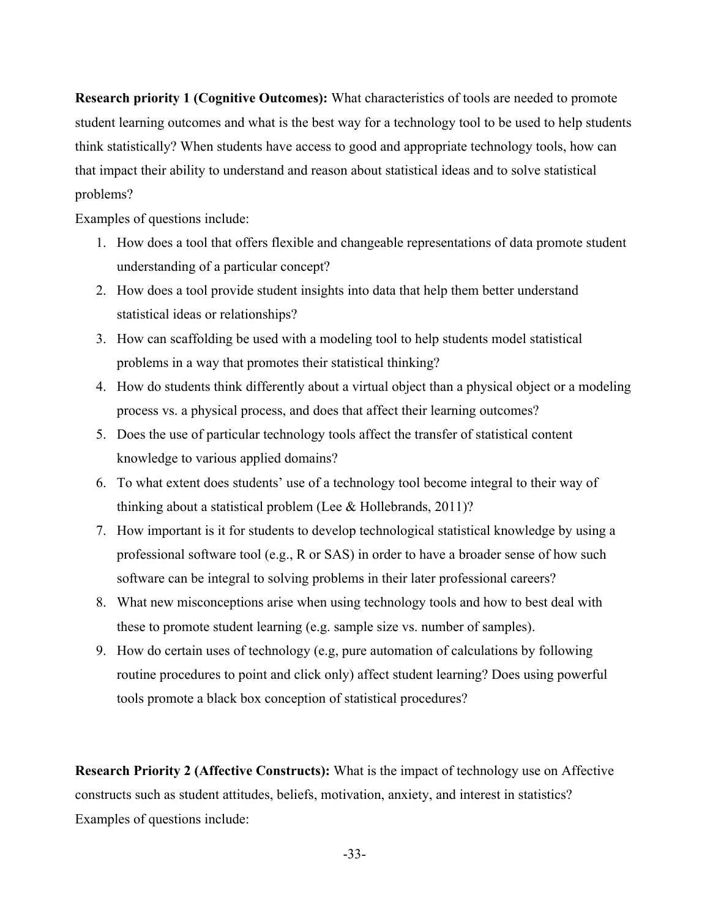**Research priority 1 (Cognitive Outcomes):** What characteristics of tools are needed to promote student learning outcomes and what is the best way for a technology tool to be used to help students think statistically? When students have access to good and appropriate technology tools, how can that impact their ability to understand and reason about statistical ideas and to solve statistical problems?

Examples of questions include:

- 1. How does a tool that offers flexible and changeable representations of data promote student understanding of a particular concept?
- 2. How does a tool provide student insights into data that help them better understand statistical ideas or relationships?
- 3. How can scaffolding be used with a modeling tool to help students model statistical problems in a way that promotes their statistical thinking?
- 4. How do students think differently about a virtual object than a physical object or a modeling process vs. a physical process, and does that affect their learning outcomes?
- 5. Does the use of particular technology tools affect the transfer of statistical content knowledge to various applied domains?
- 6. To what extent does students' use of a technology tool become integral to their way of thinking about a statistical problem (Lee & Hollebrands, 2011)?
- 7. How important is it for students to develop technological statistical knowledge by using a professional software tool (e.g., R or SAS) in order to have a broader sense of how such software can be integral to solving problems in their later professional careers?
- 8. What new misconceptions arise when using technology tools and how to best deal with these to promote student learning (e.g. sample size vs. number of samples).
- 9. How do certain uses of technology (e.g, pure automation of calculations by following routine procedures to point and click only) affect student learning? Does using powerful tools promote a black box conception of statistical procedures?

**Research Priority 2 (Affective Constructs):** What is the impact of technology use on Affective constructs such as student attitudes, beliefs, motivation, anxiety, and interest in statistics? Examples of questions include: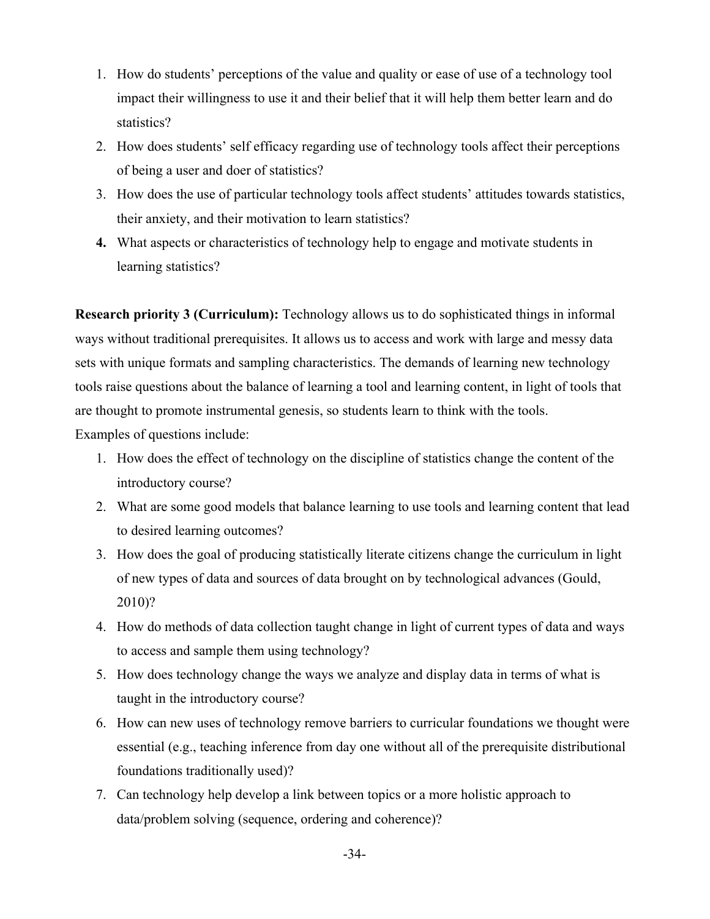- 1. How do students' perceptions of the value and quality or ease of use of a technology tool impact their willingness to use it and their belief that it will help them better learn and do statistics?
- 2. How does students' self efficacy regarding use of technology tools affect their perceptions of being a user and doer of statistics?
- 3. How does the use of particular technology tools affect students' attitudes towards statistics, their anxiety, and their motivation to learn statistics?
- **4.** What aspects or characteristics of technology help to engage and motivate students in learning statistics?

**Research priority 3 (Curriculum):** Technology allows us to do sophisticated things in informal ways without traditional prerequisites. It allows us to access and work with large and messy data sets with unique formats and sampling characteristics. The demands of learning new technology tools raise questions about the balance of learning a tool and learning content, in light of tools that are thought to promote instrumental genesis, so students learn to think with the tools.

Examples of questions include:

- 1. How does the effect of technology on the discipline of statistics change the content of the introductory course?
- 2. What are some good models that balance learning to use tools and learning content that lead to desired learning outcomes?
- 3. How does the goal of producing statistically literate citizens change the curriculum in light of new types of data and sources of data brought on by technological advances (Gould, 2010)?
- 4. How do methods of data collection taught change in light of current types of data and ways to access and sample them using technology?
- 5. How does technology change the ways we analyze and display data in terms of what is taught in the introductory course?
- 6. How can new uses of technology remove barriers to curricular foundations we thought were essential (e.g., teaching inference from day one without all of the prerequisite distributional foundations traditionally used)?
- 7. Can technology help develop a link between topics or a more holistic approach to data/problem solving (sequence, ordering and coherence)?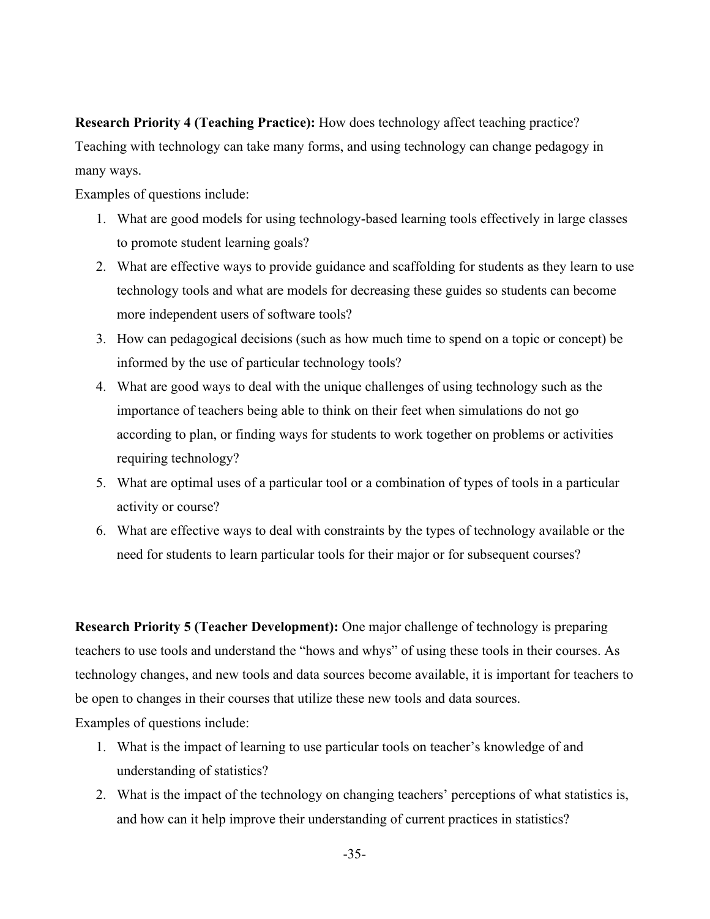**Research Priority 4 (Teaching Practice):** How does technology affect teaching practice? Teaching with technology can take many forms, and using technology can change pedagogy in many ways.

Examples of questions include:

- 1. What are good models for using technology-based learning tools effectively in large classes to promote student learning goals?
- 2. What are effective ways to provide guidance and scaffolding for students as they learn to use technology tools and what are models for decreasing these guides so students can become more independent users of software tools?
- 3. How can pedagogical decisions (such as how much time to spend on a topic or concept) be informed by the use of particular technology tools?
- 4. What are good ways to deal with the unique challenges of using technology such as the importance of teachers being able to think on their feet when simulations do not go according to plan, or finding ways for students to work together on problems or activities requiring technology?
- 5. What are optimal uses of a particular tool or a combination of types of tools in a particular activity or course?
- 6. What are effective ways to deal with constraints by the types of technology available or the need for students to learn particular tools for their major or for subsequent courses?

**Research Priority 5 (Teacher Development):** One major challenge of technology is preparing teachers to use tools and understand the "hows and whys" of using these tools in their courses. As technology changes, and new tools and data sources become available, it is important for teachers to be open to changes in their courses that utilize these new tools and data sources.

Examples of questions include:

- 1. What is the impact of learning to use particular tools on teacher's knowledge of and understanding of statistics?
- 2. What is the impact of the technology on changing teachers' perceptions of what statistics is, and how can it help improve their understanding of current practices in statistics?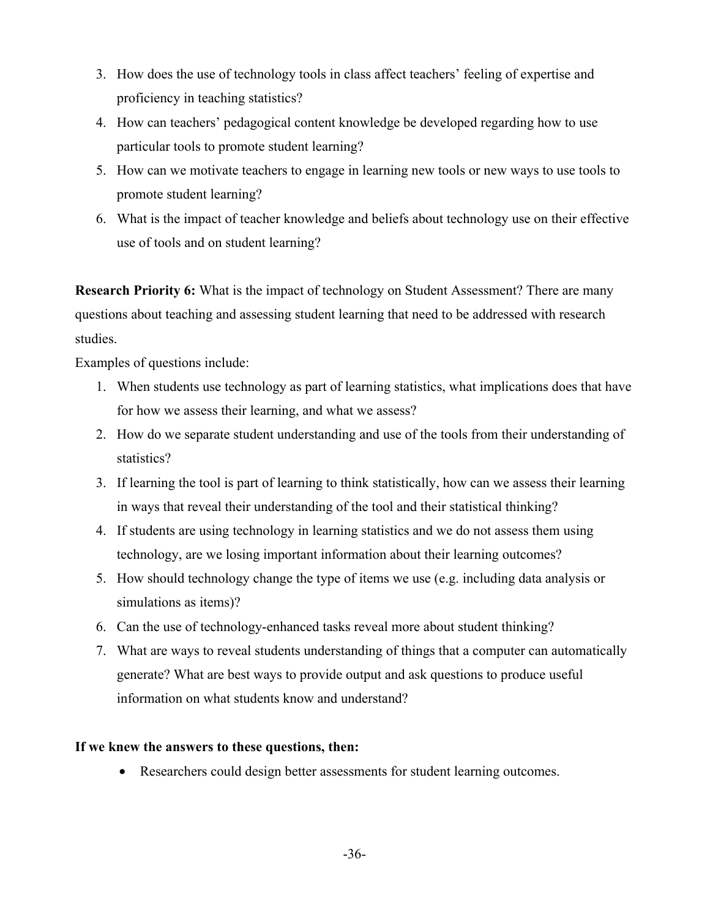- 3. How does the use of technology tools in class affect teachers' feeling of expertise and proficiency in teaching statistics?
- 4. How can teachers' pedagogical content knowledge be developed regarding how to use particular tools to promote student learning?
- 5. How can we motivate teachers to engage in learning new tools or new ways to use tools to promote student learning?
- 6. What is the impact of teacher knowledge and beliefs about technology use on their effective use of tools and on student learning?

**Research Priority 6:** What is the impact of technology on Student Assessment? There are many questions about teaching and assessing student learning that need to be addressed with research studies.

Examples of questions include:

- 1. When students use technology as part of learning statistics, what implications does that have for how we assess their learning, and what we assess?
- 2. How do we separate student understanding and use of the tools from their understanding of statistics?
- 3. If learning the tool is part of learning to think statistically, how can we assess their learning in ways that reveal their understanding of the tool and their statistical thinking?
- 4. If students are using technology in learning statistics and we do not assess them using technology, are we losing important information about their learning outcomes?
- 5. How should technology change the type of items we use (e.g. including data analysis or simulations as items)?
- 6. Can the use of technology-enhanced tasks reveal more about student thinking?
- 7. What are ways to reveal students understanding of things that a computer can automatically generate? What are best ways to provide output and ask questions to produce useful information on what students know and understand?

# **If we knew the answers to these questions, then:**

• Researchers could design better assessments for student learning outcomes.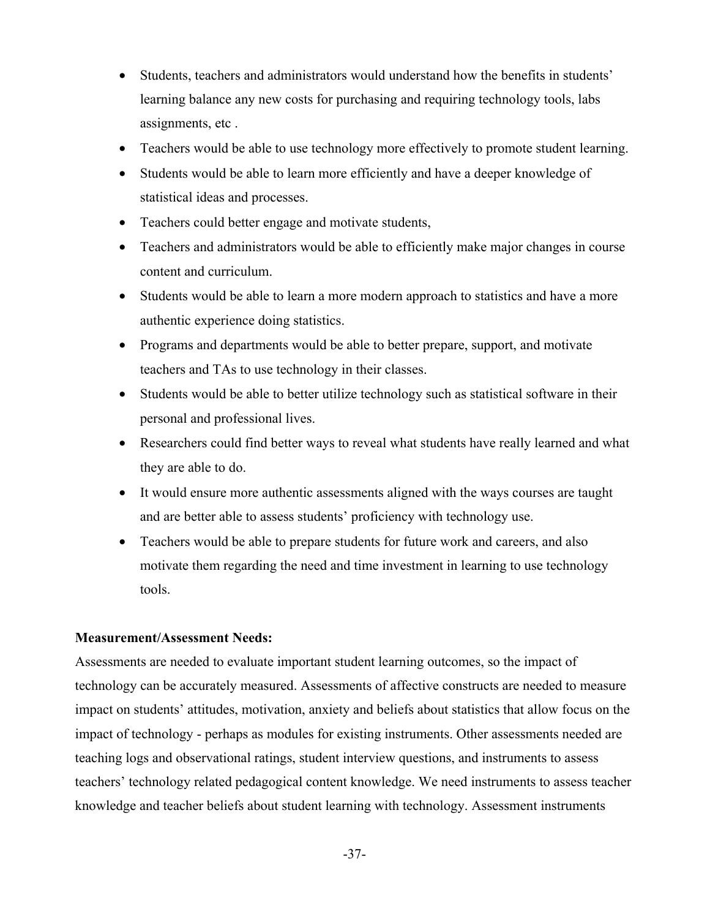- Students, teachers and administrators would understand how the benefits in students' learning balance any new costs for purchasing and requiring technology tools, labs assignments, etc .
- Teachers would be able to use technology more effectively to promote student learning.
- Students would be able to learn more efficiently and have a deeper knowledge of statistical ideas and processes.
- Teachers could better engage and motivate students,
- Teachers and administrators would be able to efficiently make major changes in course content and curriculum.
- Students would be able to learn a more modern approach to statistics and have a more authentic experience doing statistics.
- Programs and departments would be able to better prepare, support, and motivate teachers and TAs to use technology in their classes.
- Students would be able to better utilize technology such as statistical software in their personal and professional lives.
- Researchers could find better ways to reveal what students have really learned and what they are able to do.
- It would ensure more authentic assessments aligned with the ways courses are taught and are better able to assess students' proficiency with technology use.
- Teachers would be able to prepare students for future work and careers, and also motivate them regarding the need and time investment in learning to use technology tools.

# **Measurement/Assessment Needs:**

Assessments are needed to evaluate important student learning outcomes, so the impact of technology can be accurately measured. Assessments of affective constructs are needed to measure impact on students' attitudes, motivation, anxiety and beliefs about statistics that allow focus on the impact of technology - perhaps as modules for existing instruments. Other assessments needed are teaching logs and observational ratings, student interview questions, and instruments to assess teachers' technology related pedagogical content knowledge. We need instruments to assess teacher knowledge and teacher beliefs about student learning with technology. Assessment instruments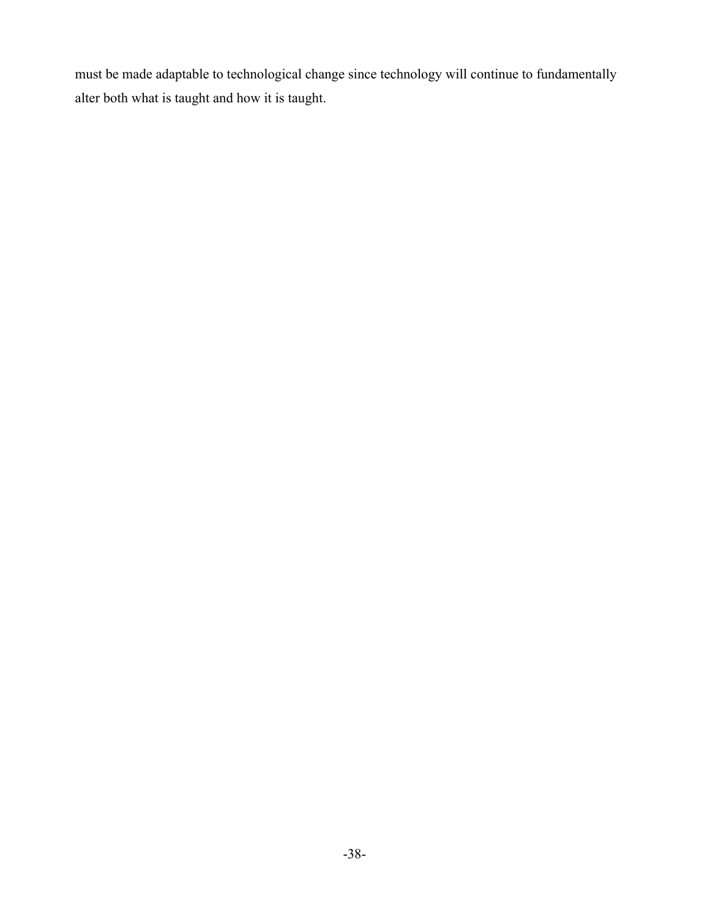must be made adaptable to technological change since technology will continue to fundamentally alter both what is taught and how it is taught.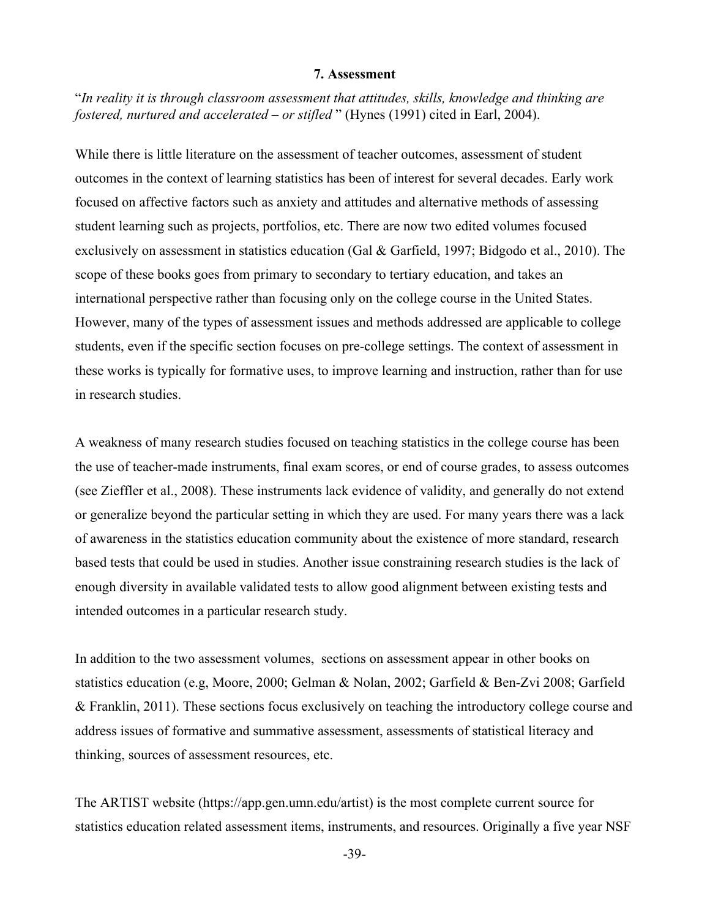#### **7. Assessment**

"*In reality it is through classroom assessment that attitudes, skills, knowledge and thinking are fostered, nurtured and accelerated – or stifled* " (Hynes (1991) cited in Earl, 2004).

While there is little literature on the assessment of teacher outcomes, assessment of student outcomes in the context of learning statistics has been of interest for several decades. Early work focused on affective factors such as anxiety and attitudes and alternative methods of assessing student learning such as projects, portfolios, etc. There are now two edited volumes focused exclusively on assessment in statistics education (Gal & Garfield, 1997; Bidgodo et al., 2010). The scope of these books goes from primary to secondary to tertiary education, and takes an international perspective rather than focusing only on the college course in the United States. However, many of the types of assessment issues and methods addressed are applicable to college students, even if the specific section focuses on pre-college settings. The context of assessment in these works is typically for formative uses, to improve learning and instruction, rather than for use in research studies.

A weakness of many research studies focused on teaching statistics in the college course has been the use of teacher-made instruments, final exam scores, or end of course grades, to assess outcomes (see Zieffler et al., 2008). These instruments lack evidence of validity, and generally do not extend or generalize beyond the particular setting in which they are used. For many years there was a lack of awareness in the statistics education community about the existence of more standard, research based tests that could be used in studies. Another issue constraining research studies is the lack of enough diversity in available validated tests to allow good alignment between existing tests and intended outcomes in a particular research study.

In addition to the two assessment volumes, sections on assessment appear in other books on statistics education (e.g, Moore, 2000; Gelman & Nolan, 2002; Garfield & Ben-Zvi 2008; Garfield & Franklin, 2011). These sections focus exclusively on teaching the introductory college course and address issues of formative and summative assessment, assessments of statistical literacy and thinking, sources of assessment resources, etc.

The ARTIST website (https://app.gen.umn.edu/artist) is the most complete current source for statistics education related assessment items, instruments, and resources. Originally a five year NSF

-39-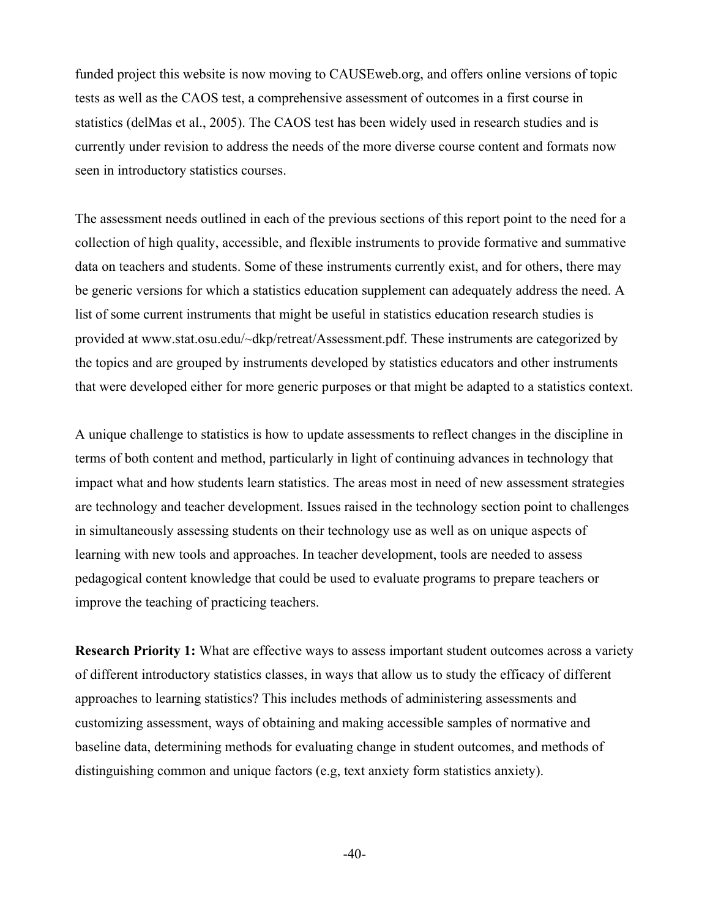funded project this website is now moving to CAUSEweb.org, and offers online versions of topic tests as well as the CAOS test, a comprehensive assessment of outcomes in a first course in statistics (delMas et al., 2005). The CAOS test has been widely used in research studies and is currently under revision to address the needs of the more diverse course content and formats now seen in introductory statistics courses.

The assessment needs outlined in each of the previous sections of this report point to the need for a collection of high quality, accessible, and flexible instruments to provide formative and summative data on teachers and students. Some of these instruments currently exist, and for others, there may be generic versions for which a statistics education supplement can adequately address the need. A list of some current instruments that might be useful in statistics education research studies is provided at www.stat.osu.edu/~dkp/retreat/Assessment.pdf. These instruments are categorized by the topics and are grouped by instruments developed by statistics educators and other instruments that were developed either for more generic purposes or that might be adapted to a statistics context.

A unique challenge to statistics is how to update assessments to reflect changes in the discipline in terms of both content and method, particularly in light of continuing advances in technology that impact what and how students learn statistics. The areas most in need of new assessment strategies are technology and teacher development. Issues raised in the technology section point to challenges in simultaneously assessing students on their technology use as well as on unique aspects of learning with new tools and approaches. In teacher development, tools are needed to assess pedagogical content knowledge that could be used to evaluate programs to prepare teachers or improve the teaching of practicing teachers.

**Research Priority 1:** What are effective ways to assess important student outcomes across a variety of different introductory statistics classes, in ways that allow us to study the efficacy of different approaches to learning statistics? This includes methods of administering assessments and customizing assessment, ways of obtaining and making accessible samples of normative and baseline data, determining methods for evaluating change in student outcomes, and methods of distinguishing common and unique factors (e.g, text anxiety form statistics anxiety).

-40-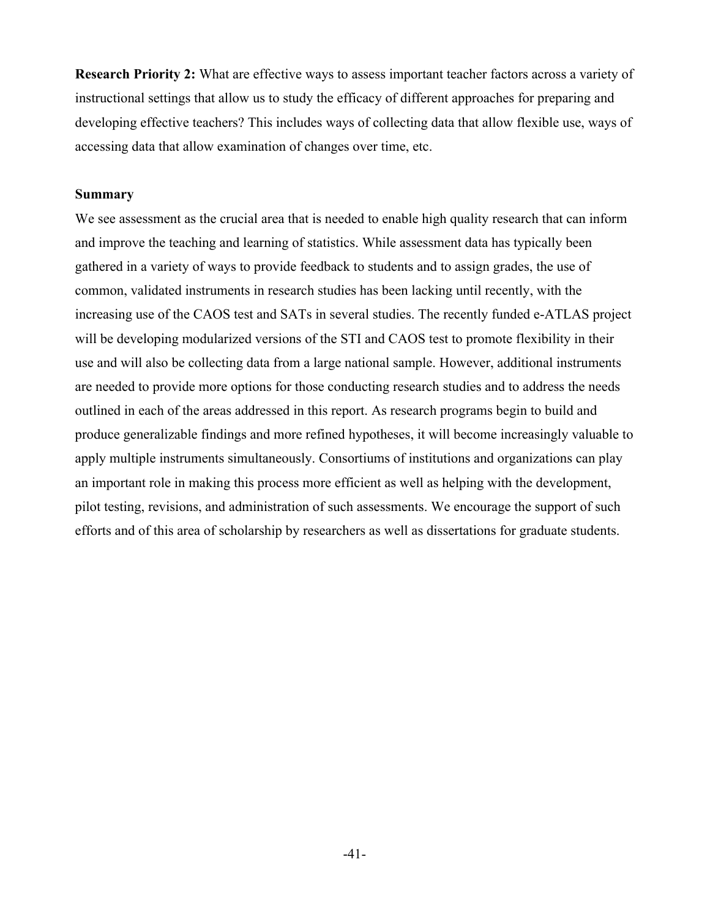**Research Priority 2:** What are effective ways to assess important teacher factors across a variety of instructional settings that allow us to study the efficacy of different approaches for preparing and developing effective teachers? This includes ways of collecting data that allow flexible use, ways of accessing data that allow examination of changes over time, etc.

## **Summary**

We see assessment as the crucial area that is needed to enable high quality research that can inform and improve the teaching and learning of statistics. While assessment data has typically been gathered in a variety of ways to provide feedback to students and to assign grades, the use of common, validated instruments in research studies has been lacking until recently, with the increasing use of the CAOS test and SATs in several studies. The recently funded e-ATLAS project will be developing modularized versions of the STI and CAOS test to promote flexibility in their use and will also be collecting data from a large national sample. However, additional instruments are needed to provide more options for those conducting research studies and to address the needs outlined in each of the areas addressed in this report. As research programs begin to build and produce generalizable findings and more refined hypotheses, it will become increasingly valuable to apply multiple instruments simultaneously. Consortiums of institutions and organizations can play an important role in making this process more efficient as well as helping with the development, pilot testing, revisions, and administration of such assessments. We encourage the support of such efforts and of this area of scholarship by researchers as well as dissertations for graduate students.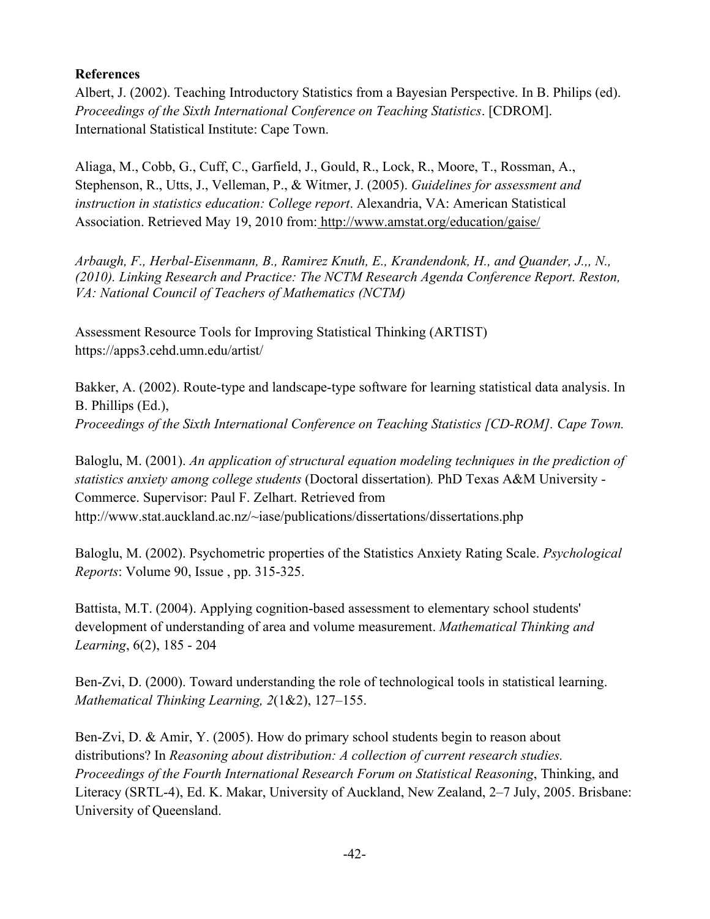# **References**

Albert, J. (2002). Teaching Introductory Statistics from a Bayesian Perspective. In B. Philips (ed). *Proceedings of the Sixth International Conference on Teaching Statistics*. [CDROM]. International Statistical Institute: Cape Town.

Aliaga, M., Cobb, G., Cuff, C., Garfield, J., Gould, R., Lock, R., Moore, T., Rossman, A., Stephenson, R., Utts, J., Velleman, P., & Witmer, J. (2005). *Guidelines for assessment and instruction in statistics education: College report*. Alexandria, VA: American Statistical Association. Retrieved May 19, 2010 from: http://www.amstat.org/education/gaise/

*Arbaugh, F., Herbal-Eisenmann, B., Ramirez Knuth, E., Krandendonk, H., and Quander, J.,, N., (2010). Linking Research and Practice: The NCTM Research Agenda Conference Report. Reston, VA: National Council of Teachers of Mathematics (NCTM)*

Assessment Resource Tools for Improving Statistical Thinking (ARTIST) https://apps3.cehd.umn.edu/artist/

Bakker, A. (2002). Route-type and landscape-type software for learning statistical data analysis. In B. Phillips (Ed.), *Proceedings of the Sixth International Conference on Teaching Statistics [CD-ROM]. Cape Town.*

Baloglu, M. (2001). *An application of structural equation modeling techniques in the prediction of statistics anxiety among college students* (Doctoral dissertation)*.* PhD Texas A&M University - Commerce. Supervisor: Paul F. Zelhart. Retrieved from http://www.stat.auckland.ac.nz/~iase/publications/dissertations/dissertations.php

Baloglu, M. (2002). Psychometric properties of the Statistics Anxiety Rating Scale. *Psychological Reports*: Volume 90, Issue , pp. 315-325.

Battista, M.T. (2004). Applying cognition-based assessment to elementary school students' development of understanding of area and volume measurement. *Mathematical Thinking and Learning*, 6(2), 185 - 204

Ben-Zvi, D. (2000). Toward understanding the role of technological tools in statistical learning. *Mathematical Thinking Learning, 2*(1&2), 127–155.

Ben-Zvi, D. & Amir, Y. (2005). How do primary school students begin to reason about distributions? In *Reasoning about distribution: A collection of current research studies. Proceedings of the Fourth International Research Forum on Statistical Reasoning*, Thinking, and Literacy (SRTL-4), Ed. K. Makar, University of Auckland, New Zealand, 2–7 July, 2005. Brisbane: University of Queensland.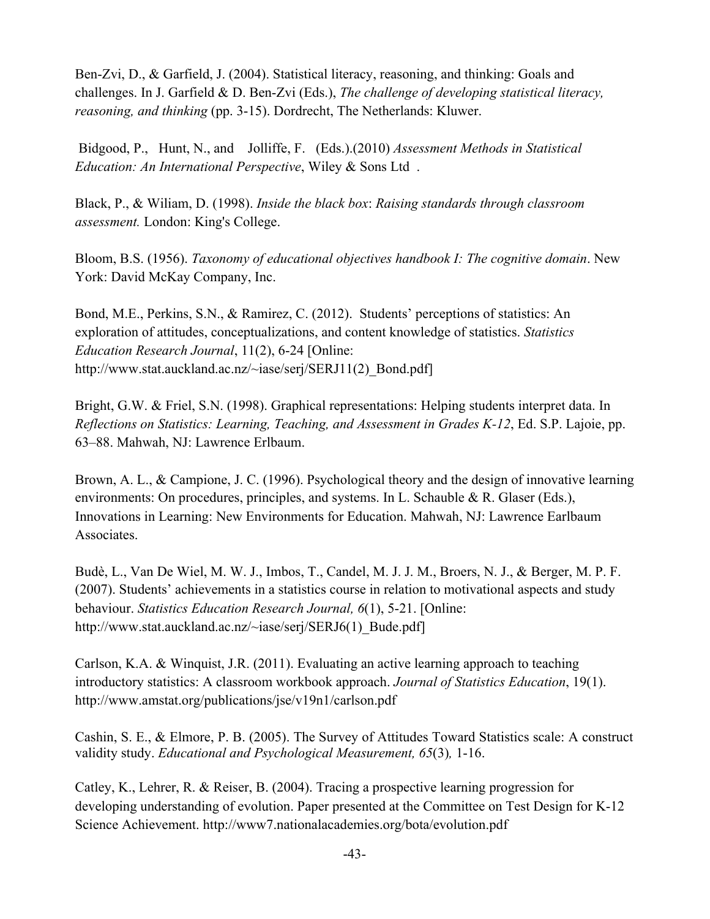Ben-Zvi, D., & Garfield, J. (2004). Statistical literacy, reasoning, and thinking: Goals and challenges. In J. Garfield & D. Ben-Zvi (Eds.), *The challenge of developing statistical literacy, reasoning, and thinking* (pp. 3-15). Dordrecht, The Netherlands: Kluwer.

Bidgood, P., Hunt, N., and Jolliffe, F. (Eds.).(2010) *Assessment Methods in Statistical Education: An International Perspective*, Wiley & Sons Ltd .

Black, P., & Wiliam, D. (1998). *Inside the black box*: *Raising standards through classroom assessment.* London: King's College.

Bloom, B.S. (1956). *Taxonomy of educational objectives handbook I: The cognitive domain*. New York: David McKay Company, Inc.

Bond, M.E., Perkins, S.N., & Ramirez, C. (2012). Students' perceptions of statistics: An exploration of attitudes, conceptualizations, and content knowledge of statistics. *Statistics Education Research Journal*, 11(2), 6-24 [Online: http://www.stat.auckland.ac.nz/~iase/serj/SERJ11(2) Bond.pdf]

Bright, G.W. & Friel, S.N. (1998). Graphical representations: Helping students interpret data. In *Reflections on Statistics: Learning, Teaching, and Assessment in Grades K-12*, Ed. S.P. Lajoie, pp. 63–88. Mahwah, NJ: Lawrence Erlbaum.

Brown, A. L., & Campione, J. C. (1996). Psychological theory and the design of innovative learning environments: On procedures, principles, and systems. In L. Schauble & R. Glaser (Eds.), Innovations in Learning: New Environments for Education. Mahwah, NJ: Lawrence Earlbaum Associates.

Budè, L., Van De Wiel, M. W. J., Imbos, T., Candel, M. J. J. M., Broers, N. J., & Berger, M. P. F. (2007). Students' achievements in a statistics course in relation to motivational aspects and study behaviour. *Statistics Education Research Journal, 6*(1), 5-21. [Online: http://www.stat.auckland.ac.nz/~iase/serj/SERJ6(1) Bude.pdf]

Carlson, K.A. & Winquist, J.R. (2011). Evaluating an active learning approach to teaching introductory statistics: A classroom workbook approach. *Journal of Statistics Education*, 19(1). http://www.amstat.org/publications/jse/v19n1/carlson.pdf

Cashin, S. E., & Elmore, P. B. (2005). The Survey of Attitudes Toward Statistics scale: A construct validity study. *Educational and Psychological Measurement, 65*(3)*,* 1-16.

Catley, K., Lehrer, R. & Reiser, B. (2004). Tracing a prospective learning progression for developing understanding of evolution. Paper presented at the Committee on Test Design for K-12 Science Achievement. http://www7.nationalacademies.org/bota/evolution.pdf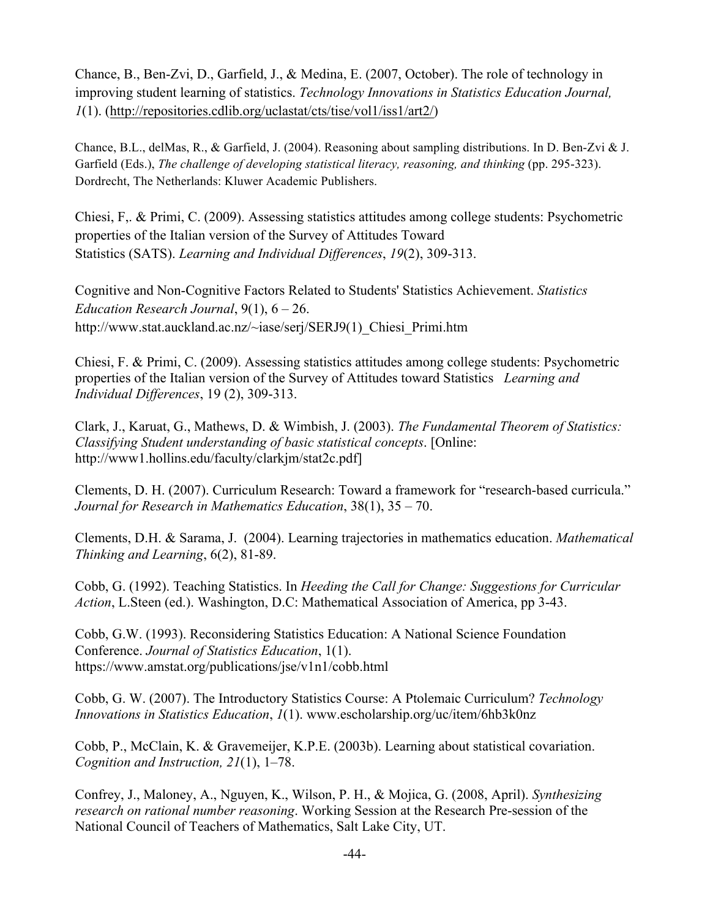Chance, B., Ben-Zvi, D., Garfield, J., & Medina, E. (2007, October). The role of technology in improving student learning of statistics. *Technology Innovations in Statistics Education Journal, 1*(1). (http://repositories.cdlib.org/uclastat/cts/tise/vol1/iss1/art2/)

Chance, B.L., delMas, R., & Garfield, J. (2004). Reasoning about sampling distributions. In D. Ben-Zvi & J. Garfield (Eds.), *The challenge of developing statistical literacy, reasoning, and thinking* (pp. 295-323). Dordrecht, The Netherlands: Kluwer Academic Publishers.

Chiesi, F,. & Primi, C. (2009). Assessing statistics attitudes among college students: Psychometric properties of the Italian version of the Survey of Attitudes Toward Statistics (SATS). *Learning and Individual Differences*, *19*(2), 309-313.

Cognitive and Non-Cognitive Factors Related to Students' Statistics Achievement. *Statistics Education Research Journal*, 9(1), 6 – 26. http://www.stat.auckland.ac.nz/~iase/serj/SERJ9(1)\_Chiesi\_Primi.htm

Chiesi, F. & Primi, C. (2009). Assessing statistics attitudes among college students: Psychometric properties of the Italian version of the Survey of Attitudes toward Statistics *Learning and Individual Differences*, 19 (2), 309-313.

Clark, J., Karuat, G., Mathews, D. & Wimbish, J. (2003). *The Fundamental Theorem of Statistics: Classifying Student understanding of basic statistical concepts*. [Online: http://www1.hollins.edu/faculty/clarkjm/stat2c.pdf]

Clements, D. H. (2007). Curriculum Research: Toward a framework for "research-based curricula." *Journal for Research in Mathematics Education*, 38(1), 35 – 70.

Clements, D.H. & Sarama, J. (2004). Learning trajectories in mathematics education. *Mathematical Thinking and Learning*, 6(2), 81-89.

Cobb, G. (1992). Teaching Statistics. In *Heeding the Call for Change: Suggestions for Curricular Action*, L.Steen (ed.). Washington, D.C: Mathematical Association of America, pp 3-43.

Cobb, G.W. (1993). Reconsidering Statistics Education: A National Science Foundation Conference. *Journal of Statistics Education*, 1(1). https://www.amstat.org/publications/jse/v1n1/cobb.html

Cobb, G. W. (2007). The Introductory Statistics Course: A Ptolemaic Curriculum? *Technology Innovations in Statistics Education*, *1*(1). www.escholarship.org/uc/item/6hb3k0nz

Cobb, P., McClain, K. & Gravemeijer, K.P.E. (2003b). Learning about statistical covariation. *Cognition and Instruction, 21*(1), 1–78.

Confrey, J., Maloney, A., Nguyen, K., Wilson, P. H., & Mojica, G. (2008, April). *Synthesizing research on rational number reasoning*. Working Session at the Research Pre-session of the National Council of Teachers of Mathematics, Salt Lake City, UT.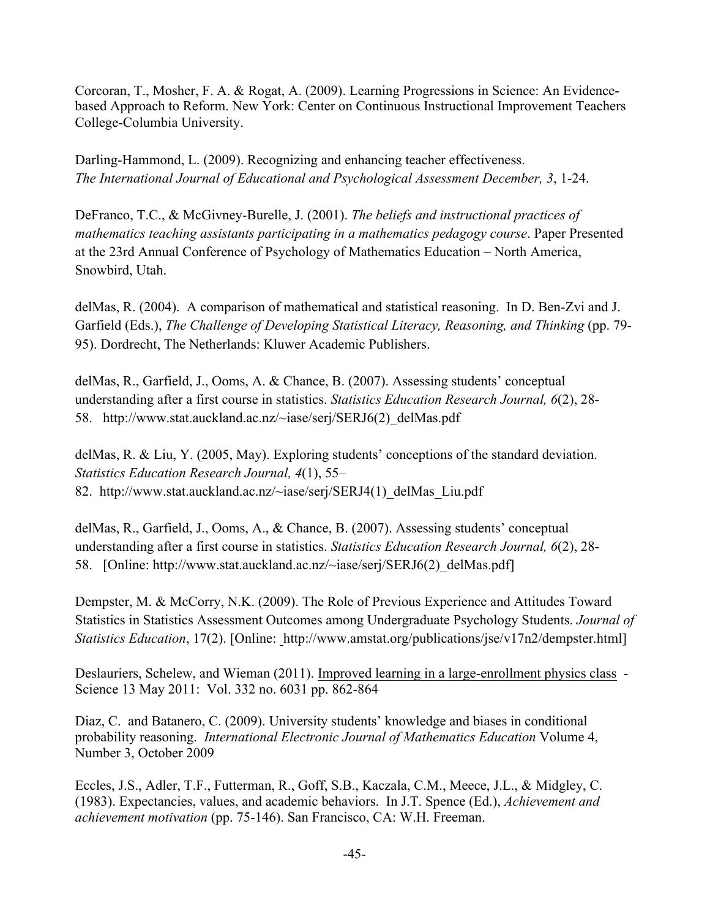Corcoran, T., Mosher, F. A. & Rogat, A. (2009). Learning Progressions in Science: An Evidencebased Approach to Reform. New York: Center on Continuous Instructional Improvement Teachers College-Columbia University.

Darling-Hammond, L. (2009). Recognizing and enhancing teacher effectiveness. *The International Journal of Educational and Psychological Assessment December, 3*, 1-24.

DeFranco, T.C., & McGivney-Burelle, J. (2001). *The beliefs and instructional practices of mathematics teaching assistants participating in a mathematics pedagogy course*. Paper Presented at the 23rd Annual Conference of Psychology of Mathematics Education – North America, Snowbird, Utah.

delMas, R. (2004). A comparison of mathematical and statistical reasoning. In D. Ben-Zvi and J. Garfield (Eds.), *The Challenge of Developing Statistical Literacy, Reasoning, and Thinking* (pp. 79-95). Dordrecht, The Netherlands: Kluwer Academic Publishers.

delMas, R., Garfield, J., Ooms, A. & Chance, B. (2007). Assessing students' conceptual understanding after a first course in statistics. *Statistics Education Research Journal, 6*(2), 28- 58. http://www.stat.auckland.ac.nz/~iase/serj/SERJ6(2)\_delMas.pdf

delMas, R. & Liu, Y. (2005, May). Exploring students' conceptions of the standard deviation. *Statistics Education Research Journal, 4*(1), 55– 82. http://www.stat.auckland.ac.nz/~iase/serj/SERJ4(1) delMas Liu.pdf

delMas, R., Garfield, J., Ooms, A., & Chance, B. (2007). Assessing students' conceptual understanding after a first course in statistics. *Statistics Education Research Journal, 6*(2), 28- 58. [Online: http://www.stat.auckland.ac.nz/~iase/serj/SERJ6(2) delMas.pdf]

Dempster, M. & McCorry, N.K. (2009). The Role of Previous Experience and Attitudes Toward Statistics in Statistics Assessment Outcomes among Undergraduate Psychology Students. *Journal of Statistics Education*, 17(2). [Online: http://www.amstat.org/publications/jse/v17n2/dempster.html]

Deslauriers, Schelew, and Wieman (2011). Improved learning in a large-enrollment physics class - Science 13 May 2011: Vol. 332 no. 6031 pp. 862-864

Diaz, C. and Batanero, C. (2009). University students' knowledge and biases in conditional probability reasoning. *International Electronic Journal of Mathematics Education* Volume 4, Number 3, October 2009

Eccles, J.S., Adler, T.F., Futterman, R., Goff, S.B., Kaczala, C.M., Meece, J.L., & Midgley, C. (1983). Expectancies, values, and academic behaviors. In J.T. Spence (Ed.), *Achievement and achievement motivation* (pp. 75-146). San Francisco, CA: W.H. Freeman.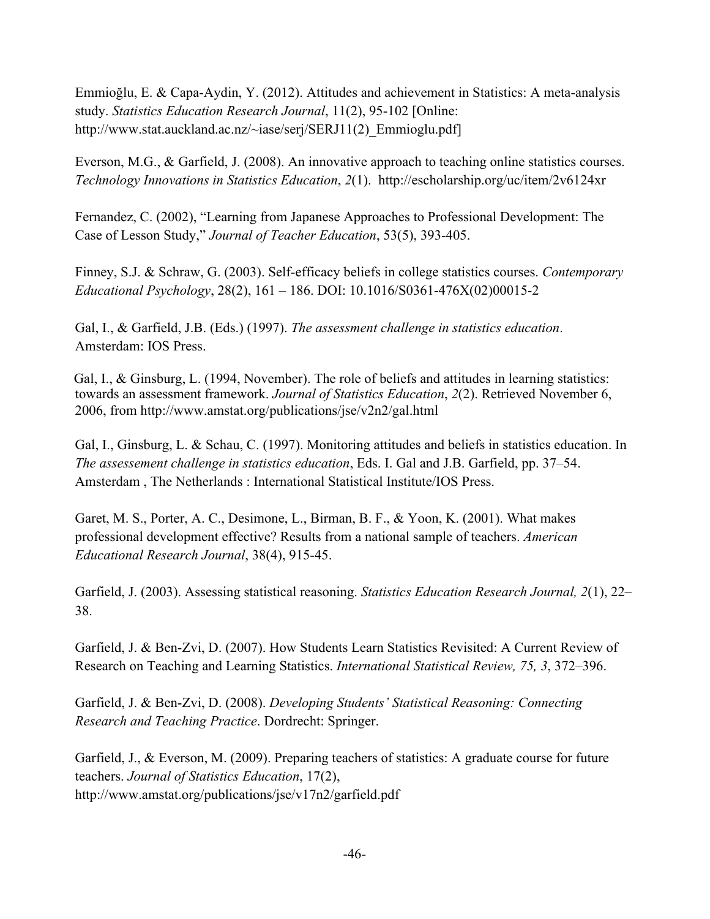Emmioğlu, E. & Capa-Aydin, Y. (2012). Attitudes and achievement in Statistics: A meta-analysis study. *Statistics Education Research Journal*, 11(2), 95-102 [Online: http://www.stat.auckland.ac.nz/~iase/serj/SERJ11(2) Emmioglu.pdf

Everson, M.G., & Garfield, J. (2008). An innovative approach to teaching online statistics courses. *Technology Innovations in Statistics Education*, *2*(1). http://escholarship.org/uc/item/2v6124xr

Fernandez, C. (2002), "Learning from Japanese Approaches to Professional Development: The Case of Lesson Study," *Journal of Teacher Education*, 53(5), 393-405.

Finney, S.J. & Schraw, G. (2003). Self-efficacy beliefs in college statistics courses. *Contemporary Educational Psychology*, 28(2), 161 – 186. DOI: 10.1016/S0361-476X(02)00015-2

Gal, I., & Garfield, J.B. (Eds.) (1997). *The assessment challenge in statistics education*. Amsterdam: IOS Press.

Gal, I., & Ginsburg, L. (1994, November). The role of beliefs and attitudes in learning statistics: towards an assessment framework. *Journal of Statistics Education*, *2*(2). Retrieved November 6, 2006, from http://www.amstat.org/publications/jse/v2n2/gal.html

Gal, I., Ginsburg, L. & Schau, C. (1997). Monitoring attitudes and beliefs in statistics education. In *The assessement challenge in statistics education*, Eds. I. Gal and J.B. Garfield, pp. 37–54. Amsterdam , The Netherlands : International Statistical Institute/IOS Press.

Garet, M. S., Porter, A. C., Desimone, L., Birman, B. F., & Yoon, K. (2001). What makes professional development effective? Results from a national sample of teachers. *American Educational Research Journal*, 38(4), 915-45.

Garfield, J. (2003). Assessing statistical reasoning. *Statistics Education Research Journal, 2*(1), 22– 38.

Garfield, J. & Ben-Zvi, D. (2007). How Students Learn Statistics Revisited: A Current Review of Research on Teaching and Learning Statistics. *International Statistical Review, 75, 3*, 372–396.

Garfield, J. & Ben-Zvi, D. (2008). *Developing Students' Statistical Reasoning: Connecting Research and Teaching Practice*. Dordrecht: Springer.

Garfield, J., & Everson, M. (2009). Preparing teachers of statistics: A graduate course for future teachers. *Journal of Statistics Education*, 17(2), http://www.amstat.org/publications/jse/v17n2/garfield.pdf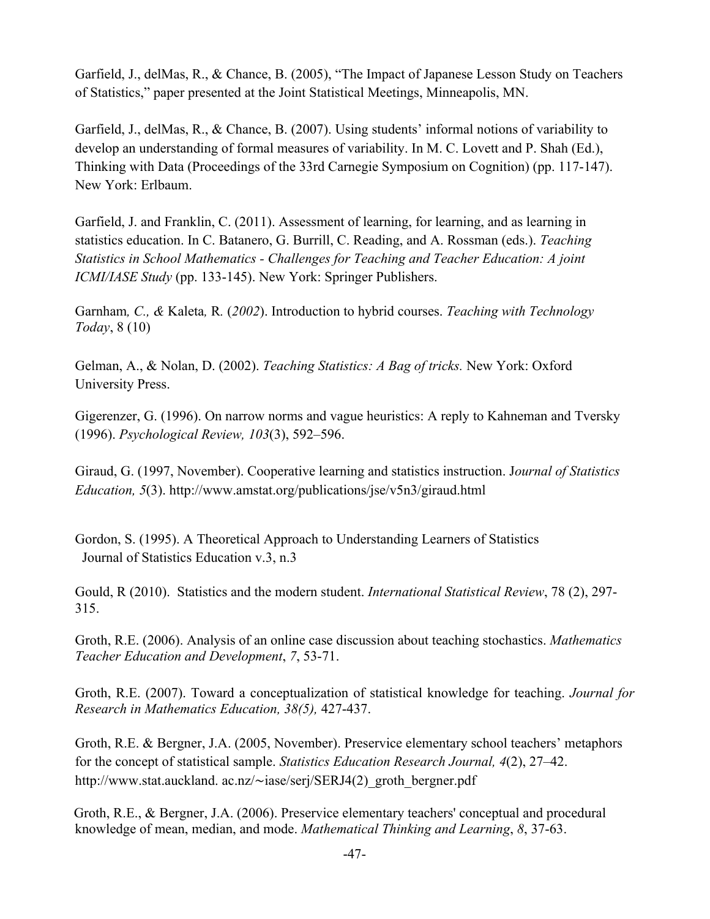Garfield, J., delMas, R., & Chance, B. (2005), "The Impact of Japanese Lesson Study on Teachers of Statistics," paper presented at the Joint Statistical Meetings, Minneapolis, MN.

Garfield, J., delMas, R., & Chance, B. (2007). Using students' informal notions of variability to develop an understanding of formal measures of variability. In M. C. Lovett and P. Shah (Ed.), Thinking with Data (Proceedings of the 33rd Carnegie Symposium on Cognition) (pp. 117-147). New York: Erlbaum.

Garfield, J. and Franklin, C. (2011). Assessment of learning, for learning, and as learning in statistics education. In C. Batanero, G. Burrill, C. Reading, and A. Rossman (eds.). *Teaching Statistics in School Mathematics - Challenges for Teaching and Teacher Education: A joint ICMI/IASE Study* (pp. 133-145). New York: Springer Publishers.

Garnham*, C., &* Kaleta*,* R*.* (*2002*). Introduction to hybrid courses. *Teaching with Technology Today*, 8 (10)

Gelman, A., & Nolan, D. (2002). *Teaching Statistics: A Bag of tricks.* New York: Oxford University Press.

Gigerenzer, G. (1996). On narrow norms and vague heuristics: A reply to Kahneman and Tversky (1996). *Psychological Review, 103*(3), 592–596.

Giraud, G. (1997, November). Cooperative learning and statistics instruction. J*ournal of Statistics Education, 5*(3). http://www.amstat.org/publications/jse/v5n3/giraud.html

Gordon, S. (1995). A Theoretical Approach to Understanding Learners of Statistics Journal of Statistics Education v.3, n.3

Gould, R (2010). Statistics and the modern student. *International Statistical Review*, 78 (2), 297- 315.

Groth, R.E. (2006). Analysis of an online case discussion about teaching stochastics. *Mathematics Teacher Education and Development*, *7*, 53-71.

Groth, R.E. (2007). Toward a conceptualization of statistical knowledge for teaching. *Journal for Research in Mathematics Education, 38(5),* 427-437.

Groth, R.E. & Bergner, J.A. (2005, November). Preservice elementary school teachers' metaphors for the concept of statistical sample. *Statistics Education Research Journal, 4*(2), 27–42. http://www.stat.auckland. ac.nz/∼iase/serj/SERJ4(2)\_groth\_bergner.pdf

Groth, R.E., & Bergner, J.A. (2006). Preservice elementary teachers' conceptual and procedural knowledge of mean, median, and mode. *Mathematical Thinking and Learning*, *8*, 37-63.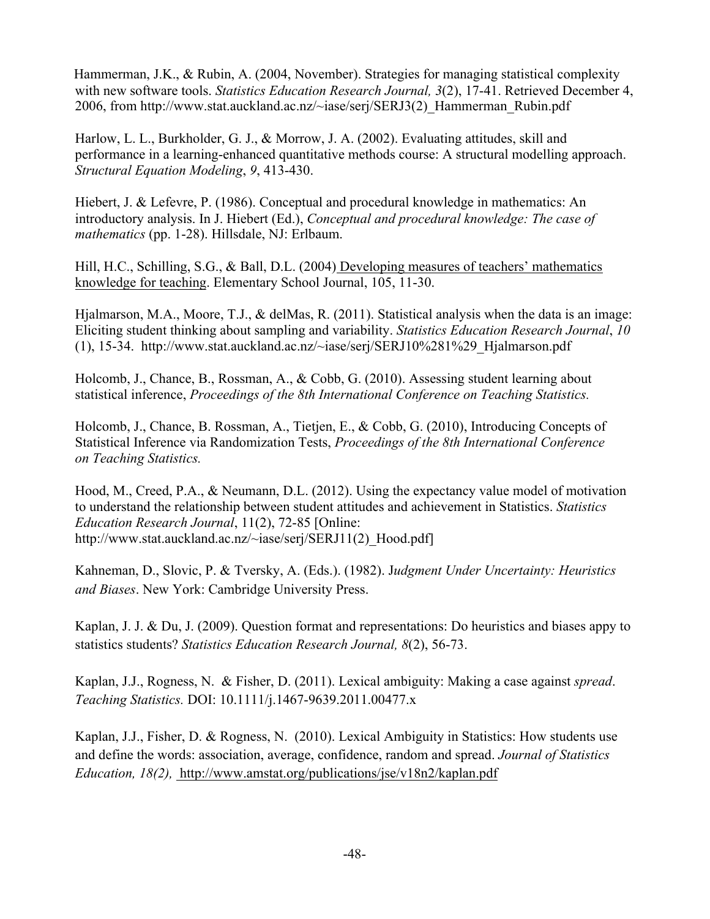Hammerman, J.K., & Rubin, A. (2004, November). Strategies for managing statistical complexity with new software tools. *Statistics Education Research Journal, 3*(2), 17-41. Retrieved December 4, 2006, from http://www.stat.auckland.ac.nz/~iase/serj/SERJ3(2)\_Hammerman\_Rubin.pdf

Harlow, L. L., Burkholder, G. J., & Morrow, J. A. (2002). Evaluating attitudes, skill and performance in a learning-enhanced quantitative methods course: A structural modelling approach. *Structural Equation Modeling*, *9*, 413-430.

Hiebert, J. & Lefevre, P. (1986). Conceptual and procedural knowledge in mathematics: An introductory analysis. In J. Hiebert (Ed.), *Conceptual and procedural knowledge: The case of mathematics* (pp. 1-28). Hillsdale, NJ: Erlbaum.

Hill, H.C., Schilling, S.G., & Ball, D.L. (2004) Developing measures of teachers' mathematics knowledge for teaching. Elementary School Journal, 105, 11-30.

Hjalmarson, M.A., Moore, T.J., & delMas, R. (2011). Statistical analysis when the data is an image: Eliciting student thinking about sampling and variability. *Statistics Education Research Journal*, *10* (1), 15-34. http://www.stat.auckland.ac.nz/~iase/serj/SERJ10%281%29\_Hjalmarson.pdf

Holcomb, J., Chance, B., Rossman, A., & Cobb, G. (2010). Assessing student learning about statistical inference, *Proceedings of the 8th International Conference on Teaching Statistics.*

Holcomb, J., Chance, B. Rossman, A., Tietjen, E., & Cobb, G. (2010), Introducing Concepts of Statistical Inference via Randomization Tests, *Proceedings of the 8th International Conference on Teaching Statistics.*

Hood, M., Creed, P.A., & Neumann, D.L. (2012). Using the expectancy value model of motivation to understand the relationship between student attitudes and achievement in Statistics. *Statistics Education Research Journal*, 11(2), 72-85 [Online: http://www.stat.auckland.ac.nz/~iase/serj/SERJ11(2) Hood.pdf]

Kahneman, D., Slovic, P. & Tversky, A. (Eds.). (1982). J*udgment Under Uncertainty: Heuristics and Biases*. New York: Cambridge University Press.

Kaplan, J. J. & Du, J. (2009). Question format and representations: Do heuristics and biases appy to statistics students? *Statistics Education Research Journal, 8*(2), 56-73.

Kaplan, J.J., Rogness, N. & Fisher, D. (2011). Lexical ambiguity: Making a case against *spread*. *Teaching Statistics.* DOI: 10.1111/j.1467-9639.2011.00477.x

Kaplan, J.J., Fisher, D. & Rogness, N. (2010). Lexical Ambiguity in Statistics: How students use and define the words: association, average, confidence, random and spread. *Journal of Statistics Education, 18(2),* http://www.amstat.org/publications/jse/v18n2/kaplan.pdf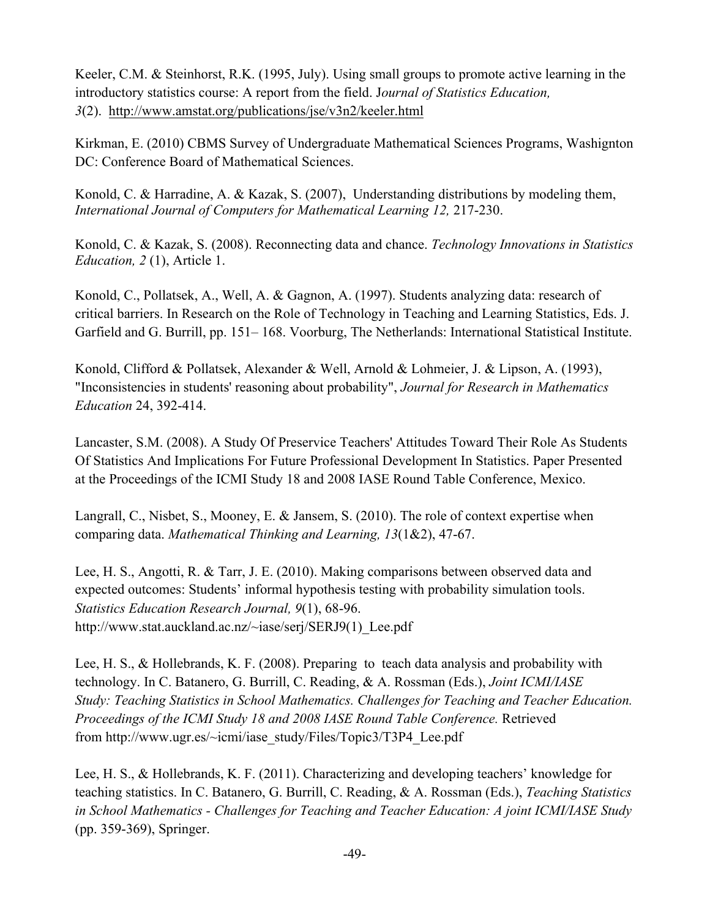Keeler, C.M. & Steinhorst, R.K. (1995, July). Using small groups to promote active learning in the introductory statistics course: A report from the field. J*ournal of Statistics Education, 3*(2). http://www.amstat.org/publications/jse/v3n2/keeler.html

Kirkman, E. (2010) CBMS Survey of Undergraduate Mathematical Sciences Programs, Washignton DC: Conference Board of Mathematical Sciences.

Konold, C. & Harradine, A. & Kazak, S. (2007), Understanding distributions by modeling them, *International Journal of Computers for Mathematical Learning 12,* 217-230.

Konold, C. & Kazak, S. (2008). Reconnecting data and chance. *Technology Innovations in Statistics Education, 2* (1), Article 1.

Konold, C., Pollatsek, A., Well, A. & Gagnon, A. (1997). Students analyzing data: research of critical barriers. In Research on the Role of Technology in Teaching and Learning Statistics, Eds. J. Garfield and G. Burrill, pp. 151– 168. Voorburg, The Netherlands: International Statistical Institute.

Konold, Clifford & Pollatsek, Alexander & Well, Arnold & Lohmeier, J. & Lipson, A. (1993), "Inconsistencies in students' reasoning about probability", *Journal for Research in Mathematics Education* 24, 392-414.

Lancaster, S.M. (2008). A Study Of Preservice Teachers' Attitudes Toward Their Role As Students Of Statistics And Implications For Future Professional Development In Statistics. Paper Presented at the Proceedings of the ICMI Study 18 and 2008 IASE Round Table Conference, Mexico.

Langrall, C., Nisbet, S., Mooney, E. & Jansem, S. (2010). The role of context expertise when comparing data. *Mathematical Thinking and Learning, 13*(1&2), 47-67.

Lee, H. S., Angotti, R. & Tarr, J. E. (2010). Making comparisons between observed data and expected outcomes: Students' informal hypothesis testing with probability simulation tools. *Statistics Education Research Journal, 9*(1), 68-96. http://www.stat.auckland.ac.nz/~iase/serj/SERJ9(1) Lee.pdf

Lee, H. S., & Hollebrands, K. F. (2008). Preparing to teach data analysis and probability with technology. In C. Batanero, G. Burrill, C. Reading, & A. Rossman (Eds.), *Joint ICMI/IASE Study: Teaching Statistics in School Mathematics. Challenges for Teaching and Teacher Education. Proceedings of the ICMI Study 18 and 2008 IASE Round Table Conference.* Retrieved from http://www.ugr.es/~icmi/iase\_study/Files/Topic3/T3P4\_Lee.pdf

Lee, H. S., & Hollebrands, K. F. (2011). Characterizing and developing teachers' knowledge for teaching statistics. In C. Batanero, G. Burrill, C. Reading, & A. Rossman (Eds.), *Teaching Statistics in School Mathematics - Challenges for Teaching and Teacher Education: A joint ICMI/IASE Study*  (pp. 359-369), Springer.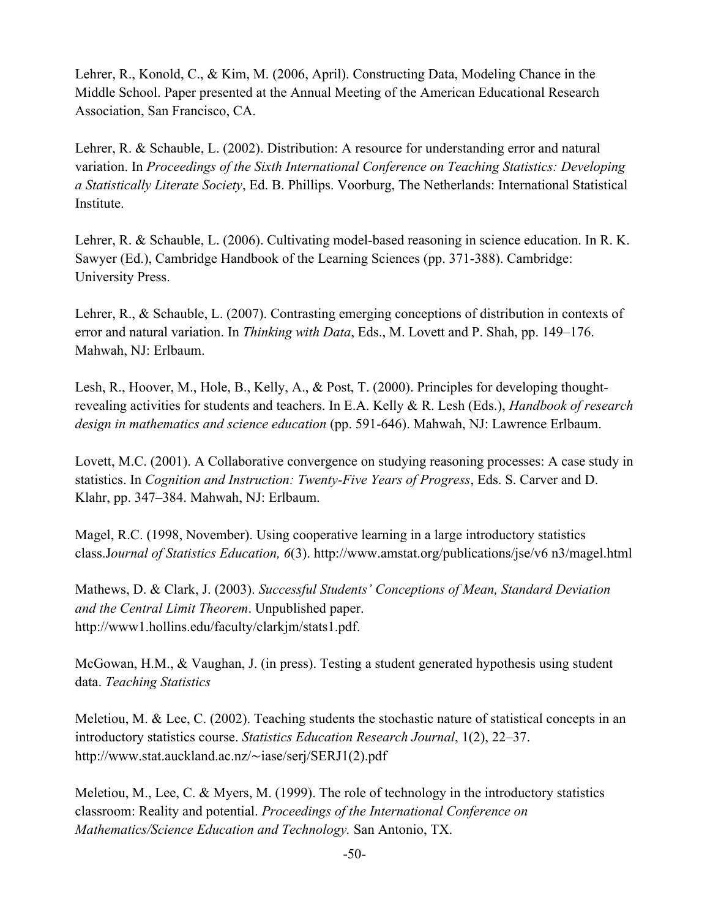Lehrer, R., Konold, C., & Kim, M. (2006, April). Constructing Data, Modeling Chance in the Middle School. Paper presented at the Annual Meeting of the American Educational Research Association, San Francisco, CA.

Lehrer, R. & Schauble, L. (2002). Distribution: A resource for understanding error and natural variation. In *Proceedings of the Sixth International Conference on Teaching Statistics: Developing a Statistically Literate Society*, Ed. B. Phillips. Voorburg, The Netherlands: International Statistical Institute.

Lehrer, R. & Schauble, L. (2006). Cultivating model-based reasoning in science education. In R. K. Sawyer (Ed.), Cambridge Handbook of the Learning Sciences (pp. 371-388). Cambridge: University Press.

Lehrer, R., & Schauble, L. (2007). Contrasting emerging conceptions of distribution in contexts of error and natural variation. In *Thinking with Data*, Eds., M. Lovett and P. Shah, pp. 149–176. Mahwah, NJ: Erlbaum.

Lesh, R., Hoover, M., Hole, B., Kelly, A., & Post, T. (2000). Principles for developing thoughtrevealing activities for students and teachers. In E.A. Kelly & R. Lesh (Eds.), *Handbook of research design in mathematics and science education* (pp. 591-646). Mahwah, NJ: Lawrence Erlbaum.

Lovett, M.C. (2001). A Collaborative convergence on studying reasoning processes: A case study in statistics. In *Cognition and Instruction: Twenty-Five Years of Progress*, Eds. S. Carver and D. Klahr, pp. 347–384. Mahwah, NJ: Erlbaum.

Magel, R.C. (1998, November). Using cooperative learning in a large introductory statistics class.J*ournal of Statistics Education, 6*(3). http://www.amstat.org/publications/jse/v6 n3/magel.html

Mathews, D. & Clark, J. (2003). *Successful Students' Conceptions of Mean, Standard Deviation and the Central Limit Theorem*. Unpublished paper. http://www1.hollins.edu/faculty/clarkjm/stats1.pdf.

McGowan, H.M., & Vaughan, J. (in press). Testing a student generated hypothesis using student data. *Teaching Statistics*

Meletiou, M. & Lee, C. (2002). Teaching students the stochastic nature of statistical concepts in an introductory statistics course. *Statistics Education Research Journal*, 1(2), 22–37. http://www.stat.auckland.ac.nz/∼iase/serj/SERJ1(2).pdf

Meletiou, M., Lee, C. & Myers, M. (1999). The role of technology in the introductory statistics classroom: Reality and potential. *Proceedings of the International Conference on Mathematics/Science Education and Technology.* San Antonio, TX.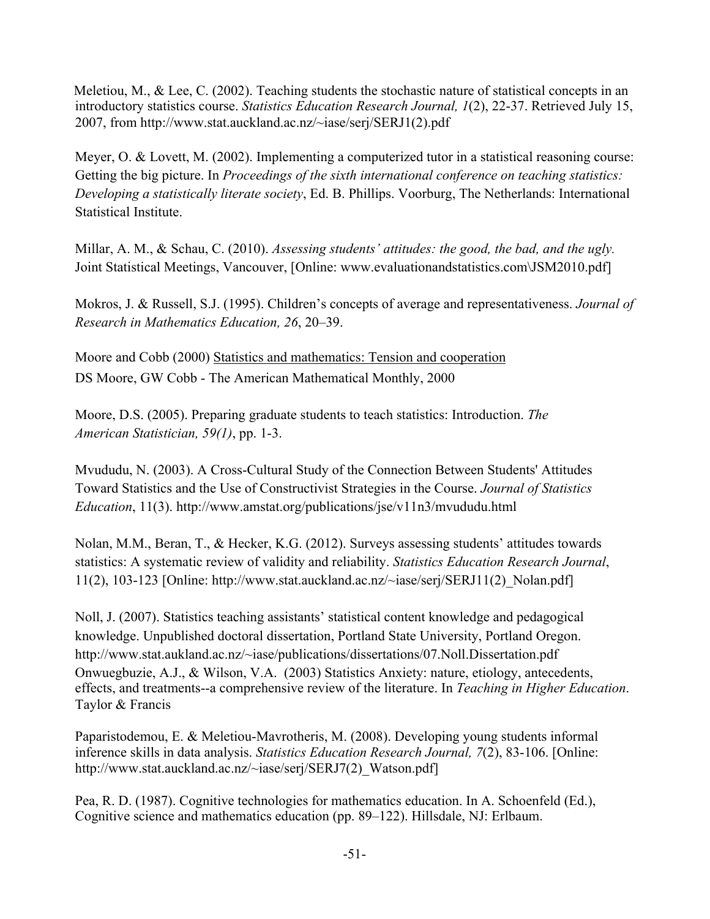Meletiou, M., & Lee, C. (2002). Teaching students the stochastic nature of statistical concepts in an introductory statistics course. *Statistics Education Research Journal, 1*(2), 22-37. Retrieved July 15, 2007, from http://www.stat.auckland.ac.nz/~iase/serj/SERJ1(2).pdf

Meyer, O. & Lovett, M. (2002). Implementing a computerized tutor in a statistical reasoning course: Getting the big picture. In *Proceedings of the sixth international conference on teaching statistics: Developing a statistically literate society*, Ed. B. Phillips. Voorburg, The Netherlands: International Statistical Institute.

Millar, A. M., & Schau, C. (2010). *Assessing students' attitudes: the good, the bad, and the ugly.* Joint Statistical Meetings, Vancouver, [Online: www.evaluationandstatistics.com\JSM2010.pdf]

Mokros, J. & Russell, S.J. (1995). Children's concepts of average and representativeness. *Journal of Research in Mathematics Education, 26*, 20–39.

Moore and Cobb (2000) Statistics and mathematics: Tension and cooperation DS Moore, GW Cobb - The American Mathematical Monthly, 2000

Moore, D.S. (2005). Preparing graduate students to teach statistics: Introduction. *The American Statistician, 59(1)*, pp. 1-3.

Mvududu, N. (2003). A Cross-Cultural Study of the Connection Between Students' Attitudes Toward Statistics and the Use of Constructivist Strategies in the Course. *Journal of Statistics Education*, 11(3). http://www.amstat.org/publications/jse/v11n3/mvududu.html

Nolan, M.M., Beran, T., & Hecker, K.G. (2012). Surveys assessing students' attitudes towards statistics: A systematic review of validity and reliability. *Statistics Education Research Journal*, 11(2), 103-123 [Online: http://www.stat.auckland.ac.nz/~iase/serj/SERJ11(2)\_Nolan.pdf]

Noll, J. (2007). Statistics teaching assistants' statistical content knowledge and pedagogical knowledge. Unpublished doctoral dissertation, Portland State University, Portland Oregon. http://www.stat.aukland.ac.nz/~iase/publications/dissertations/07.Noll.Dissertation.pdf Onwuegbuzie, A.J., & Wilson, V.A. (2003) Statistics Anxiety: nature, etiology, antecedents, effects, and treatments--a comprehensive review of the literature. In *Teaching in Higher Education*. Taylor & Francis

Paparistodemou, E. & Meletiou-Mavrotheris, M. (2008). Developing young students informal inference skills in data analysis. *Statistics Education Research Journal, 7*(2), 83-106. [Online: http://www.stat.auckland.ac.nz/~iase/serj/SERJ7(2)\_Watson.pdf]

Pea, R. D. (1987). Cognitive technologies for mathematics education. In A. Schoenfeld (Ed.), Cognitive science and mathematics education (pp. 89–122). Hillsdale, NJ: Erlbaum.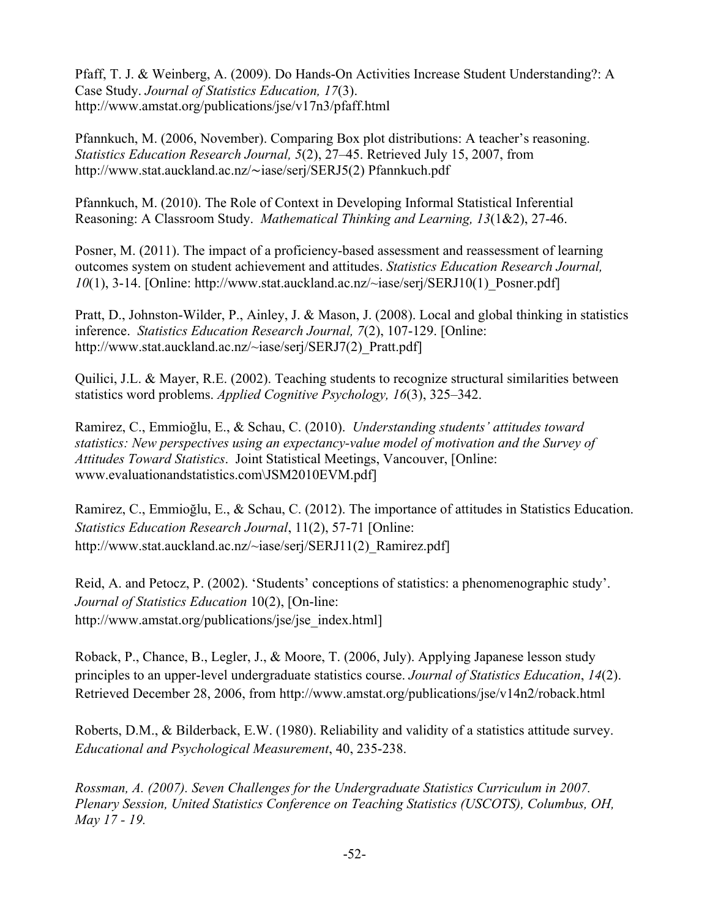Pfaff, T. J. & Weinberg, A. (2009). Do Hands-On Activities Increase Student Understanding?: A Case Study. *Journal of Statistics Education, 17*(3). http://www.amstat.org/publications/jse/v17n3/pfaff.html

Pfannkuch, M. (2006, November). Comparing Box plot distributions: A teacher's reasoning. *Statistics Education Research Journal, 5*(2), 27–45. Retrieved July 15, 2007, from http://www.stat.auckland.ac.nz/∼iase/serj/SERJ5(2) Pfannkuch.pdf

Pfannkuch, M. (2010). The Role of Context in Developing Informal Statistical Inferential Reasoning: A Classroom Study. *Mathematical Thinking and Learning, 13*(1&2), 27-46.

Posner, M. (2011). The impact of a proficiency-based assessment and reassessment of learning outcomes system on student achievement and attitudes. *Statistics Education Research Journal, 10*(1), 3-14. [Online: http://www.stat.auckland.ac.nz/~iase/serj/SERJ10(1)\_Posner.pdf]

Pratt, D., Johnston-Wilder, P., Ainley, J. & Mason, J. (2008). Local and global thinking in statistics inference. *Statistics Education Research Journal, 7*(2), 107-129. [Online: http://www.stat.auckland.ac.nz/~iase/serj/SERJ7(2) Pratt.pdf]

Quilici, J.L. & Mayer, R.E. (2002). Teaching students to recognize structural similarities between statistics word problems. *Applied Cognitive Psychology, 16*(3), 325–342.

Ramirez, C., Emmioğlu, E., & Schau, C. (2010). *Understanding students' attitudes toward statistics: New perspectives using an expectancy-value model of motivation and the Survey of Attitudes Toward Statistics*. Joint Statistical Meetings, Vancouver, [Online: www.evaluationandstatistics.com\JSM2010EVM.pdf]

Ramirez, C., Emmioğlu, E., & Schau, C. (2012). The importance of attitudes in Statistics Education. *Statistics Education Research Journal*, 11(2), 57-71 [Online: http://www.stat.auckland.ac.nz/~iase/serj/SERJ11(2) Ramirez.pdf]

Reid, A. and Petocz, P. (2002). 'Students' conceptions of statistics: a phenomenographic study'. *Journal of Statistics Education* 10(2), [On-line: http://www.amstat.org/publications/jse/jse\_index.html]

Roback, P., Chance, B., Legler, J., & Moore, T. (2006, July). Applying Japanese lesson study principles to an upper-level undergraduate statistics course. *Journal of Statistics Education*, *14*(2). Retrieved December 28, 2006, from http://www.amstat.org/publications/jse/v14n2/roback.html

Roberts, D.M., & Bilderback, E.W. (1980). Reliability and validity of a statistics attitude survey. *Educational and Psychological Measurement*, 40, 235-238.

*Rossman, A. (2007). Seven Challenges for the Undergraduate Statistics Curriculum in 2007. Plenary Session, United Statistics Conference on Teaching Statistics (USCOTS), Columbus, OH, May 17 - 19.*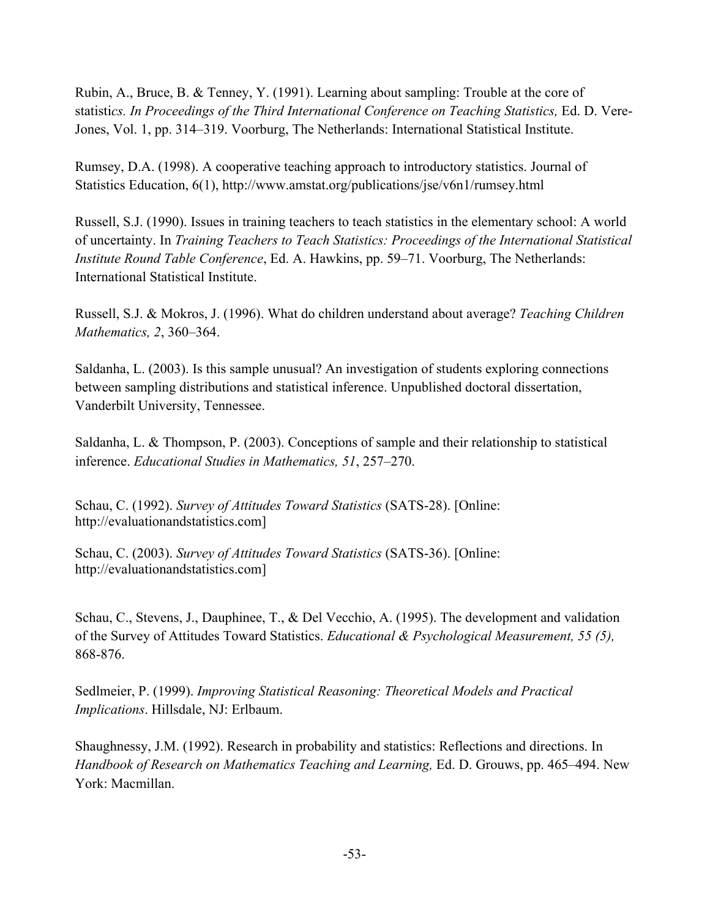Rubin, A., Bruce, B. & Tenney, Y. (1991). Learning about sampling: Trouble at the core of statisti*cs. In Proceedings of the Third International Conference on Teaching Statistics,* Ed. D. Vere-Jones, Vol. 1, pp. 314–319. Voorburg, The Netherlands: International Statistical Institute.

Rumsey, D.A. (1998). A cooperative teaching approach to introductory statistics. Journal of Statistics Education, 6(1), http://www.amstat.org/publications/jse/v6n1/rumsey.html

Russell, S.J. (1990). Issues in training teachers to teach statistics in the elementary school: A world of uncertainty. In *Training Teachers to Teach Statistics: Proceedings of the International Statistical Institute Round Table Conference*, Ed. A. Hawkins, pp. 59–71. Voorburg, The Netherlands: International Statistical Institute.

Russell, S.J. & Mokros, J. (1996). What do children understand about average? *Teaching Children Mathematics, 2*, 360–364.

Saldanha, L. (2003). Is this sample unusual? An investigation of students exploring connections between sampling distributions and statistical inference. Unpublished doctoral dissertation, Vanderbilt University, Tennessee.

Saldanha, L. & Thompson, P. (2003). Conceptions of sample and their relationship to statistical inference. *Educational Studies in Mathematics, 51*, 257–270.

Schau, C. (1992). *Survey of Attitudes Toward Statistics* (SATS-28). [Online: http://evaluationandstatistics.com]

Schau, C. (2003). *Survey of Attitudes Toward Statistics* (SATS-36). [Online: http://evaluationandstatistics.com]

Schau, C., Stevens, J., Dauphinee, T., & Del Vecchio, A. (1995). The development and validation of the Survey of Attitudes Toward Statistics. *Educational & Psychological Measurement, 55 (5),* 868-876.

Sedlmeier, P. (1999). *Improving Statistical Reasoning: Theoretical Models and Practical Implications*. Hillsdale, NJ: Erlbaum.

Shaughnessy, J.M. (1992). Research in probability and statistics: Reflections and directions. In *Handbook of Research on Mathematics Teaching and Learning,* Ed. D. Grouws, pp. 465–494. New York: Macmillan.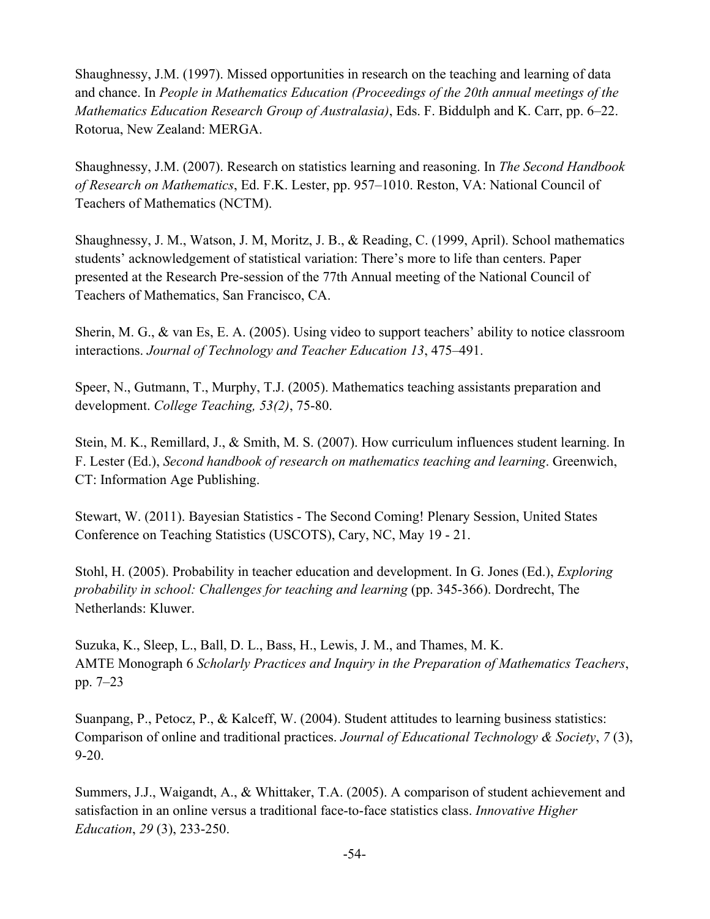Shaughnessy, J.M. (1997). Missed opportunities in research on the teaching and learning of data and chance. In *People in Mathematics Education (Proceedings of the 20th annual meetings of the Mathematics Education Research Group of Australasia)*, Eds. F. Biddulph and K. Carr, pp. 6–22. Rotorua, New Zealand: MERGA.

Shaughnessy, J.M. (2007). Research on statistics learning and reasoning. In *The Second Handbook of Research on Mathematics*, Ed. F.K. Lester, pp. 957–1010. Reston, VA: National Council of Teachers of Mathematics (NCTM).

Shaughnessy, J. M., Watson, J. M, Moritz, J. B., & Reading, C. (1999, April). School mathematics students' acknowledgement of statistical variation: There's more to life than centers. Paper presented at the Research Pre-session of the 77th Annual meeting of the National Council of Teachers of Mathematics, San Francisco, CA.

Sherin, M. G., & van Es, E. A. (2005). Using video to support teachers' ability to notice classroom interactions. *Journal of Technology and Teacher Education 13*, 475–491.

Speer, N., Gutmann, T., Murphy, T.J. (2005). Mathematics teaching assistants preparation and development. *College Teaching, 53(2)*, 75-80.

Stein, M. K., Remillard, J., & Smith, M. S. (2007). How curriculum influences student learning. In F. Lester (Ed.), *Second handbook of research on mathematics teaching and learning*. Greenwich, CT: Information Age Publishing.

Stewart, W. (2011). Bayesian Statistics - The Second Coming! Plenary Session, United States Conference on Teaching Statistics (USCOTS), Cary, NC, May 19 - 21.

Stohl, H. (2005). Probability in teacher education and development. In G. Jones (Ed.), *Exploring probability in school: Challenges for teaching and learning* (pp. 345-366). Dordrecht, The Netherlands: Kluwer.

Suzuka, K., Sleep, L., Ball, D. L., Bass, H., Lewis, J. M., and Thames, M. K. AMTE Monograph 6 *Scholarly Practices and Inquiry in the Preparation of Mathematics Teachers*, pp. 7–23

Suanpang, P., Petocz, P., & Kalceff, W. (2004). Student attitudes to learning business statistics: Comparison of online and traditional practices. *Journal of Educational Technology & Society*, *7* (3), 9-20.

Summers, J.J., Waigandt, A., & Whittaker, T.A. (2005). A comparison of student achievement and satisfaction in an online versus a traditional face-to-face statistics class. *Innovative Higher Education*, *29* (3), 233-250.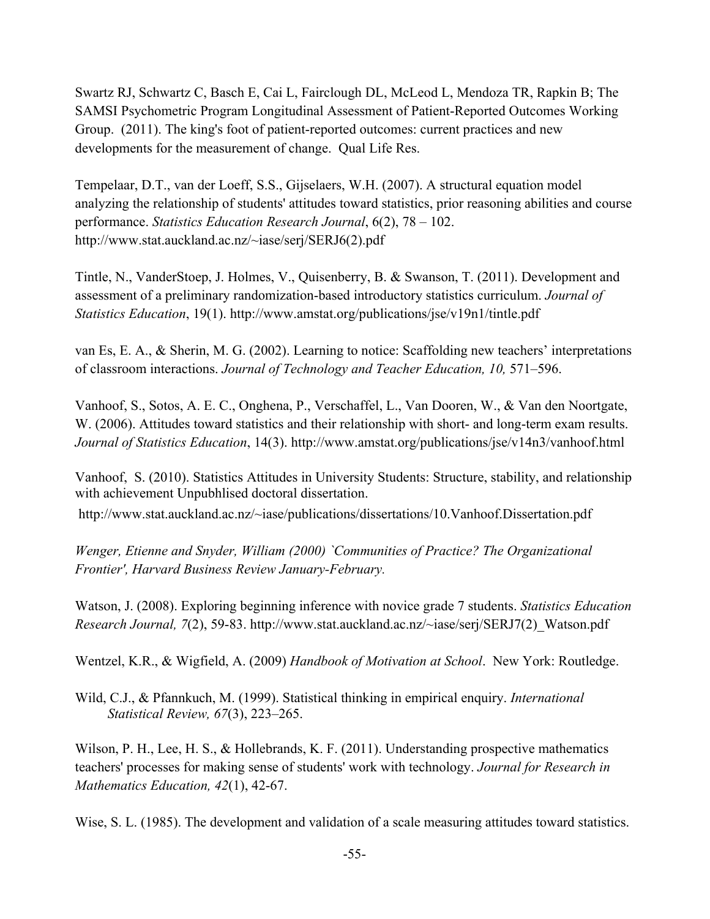Swartz RJ, Schwartz C, Basch E, Cai L, Fairclough DL, McLeod L, Mendoza TR, Rapkin B; The SAMSI Psychometric Program Longitudinal Assessment of Patient-Reported Outcomes Working Group. (2011). The king's foot of patient-reported outcomes: current practices and new developments for the measurement of change. Qual Life Res.

Tempelaar, D.T., van der Loeff, S.S., Gijselaers, W.H. (2007). A structural equation model analyzing the relationship of students' attitudes toward statistics, prior reasoning abilities and course performance. *Statistics Education Research Journal*, 6(2), 78 – 102. http://www.stat.auckland.ac.nz/~iase/serj/SERJ6(2).pdf

Tintle, N., VanderStoep, J. Holmes, V., Quisenberry, B. & Swanson, T. (2011). Development and assessment of a preliminary randomization-based introductory statistics curriculum. *Journal of Statistics Education*, 19(1). http://www.amstat.org/publications/jse/v19n1/tintle.pdf

van Es, E. A., & Sherin, M. G. (2002). Learning to notice: Scaffolding new teachers' interpretations of classroom interactions. *Journal of Technology and Teacher Education, 10,* 571–596.

Vanhoof, S., Sotos, A. E. C., Onghena, P., Verschaffel, L., Van Dooren, W., & Van den Noortgate, W. (2006). Attitudes toward statistics and their relationship with short- and long-term exam results. *Journal of Statistics Education*, 14(3). http://www.amstat.org/publications/jse/v14n3/vanhoof.html

Vanhoof, S. (2010). Statistics Attitudes in University Students: Structure, stability, and relationship with achievement Unpubhlised doctoral dissertation.

http://www.stat.auckland.ac.nz/~iase/publications/dissertations/10.Vanhoof.Dissertation.pdf

*Wenger, Etienne and Snyder, William (2000) `Communities of Practice? The Organizational Frontier', Harvard Business Review January-February.*

Watson, J. (2008). Exploring beginning inference with novice grade 7 students. *Statistics Education Research Journal, 7*(2), 59-83. http://www.stat.auckland.ac.nz/~iase/serj/SERJ7(2)\_Watson.pdf

Wentzel, K.R., & Wigfield, A. (2009) *Handbook of Motivation at School*. New York: Routledge.

Wild, C.J., & Pfannkuch, M. (1999). Statistical thinking in empirical enquiry. *International Statistical Review, 67*(3), 223–265.

Wilson, P. H., Lee, H. S., & Hollebrands, K. F. (2011). Understanding prospective mathematics teachers' processes for making sense of students' work with technology. *Journal for Research in Mathematics Education, 42*(1), 42-67.

Wise, S. L. (1985). The development and validation of a scale measuring attitudes toward statistics.